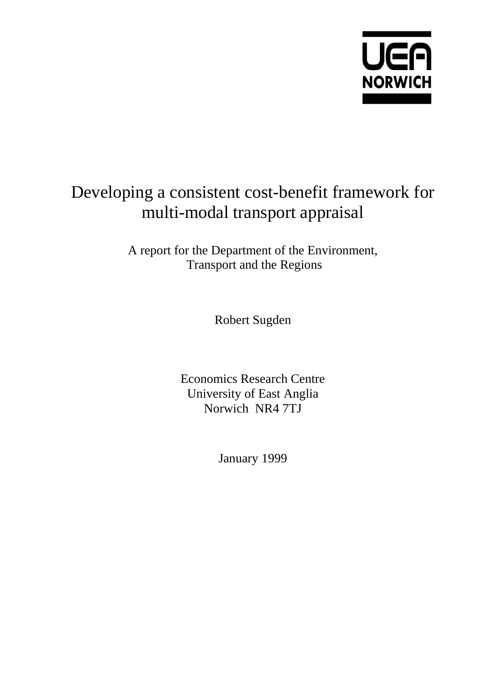

# Developing a consistent cost-benefit framework for multi-modal transport appraisal

A report for the Department of the Environment, Transport and the Regions

Robert Sugden

Economics Research Centre University of East Anglia Norwich NR4 7TJ

January 1999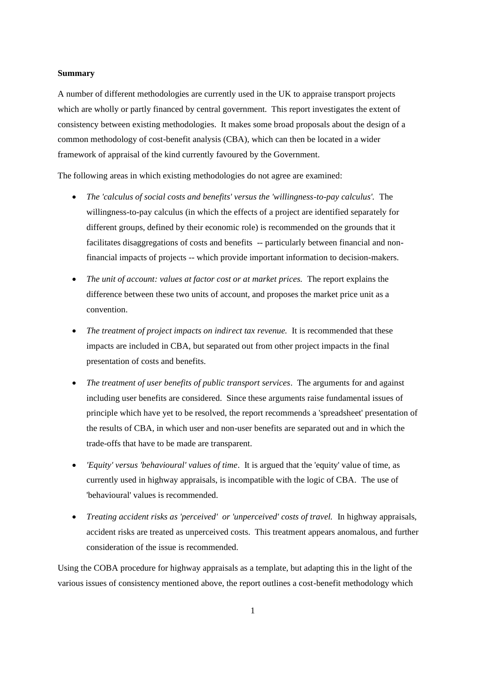#### **Summary**

A number of different methodologies are currently used in the UK to appraise transport projects which are wholly or partly financed by central government. This report investigates the extent of consistency between existing methodologies. It makes some broad proposals about the design of a common methodology of cost-benefit analysis (CBA), which can then be located in a wider framework of appraisal of the kind currently favoured by the Government.

The following areas in which existing methodologies do not agree are examined:

- *The 'calculus of social costs and benefits' versus the 'willingness-to-pay calculus'.* The willingness-to-pay calculus (in which the effects of a project are identified separately for different groups, defined by their economic role) is recommended on the grounds that it facilitates disaggregations of costs and benefits -- particularly between financial and nonfinancial impacts of projects -- which provide important information to decision-makers.
- *The unit of account: values at factor cost or at market prices.* The report explains the difference between these two units of account, and proposes the market price unit as a convention.
- *The treatment of project impacts on indirect tax revenue.* It is recommended that these impacts are included in CBA, but separated out from other project impacts in the final presentation of costs and benefits.
- *The treatment of user benefits of public transport services*. The arguments for and against including user benefits are considered. Since these arguments raise fundamental issues of principle which have yet to be resolved, the report recommends a 'spreadsheet' presentation of the results of CBA, in which user and non-user benefits are separated out and in which the trade-offs that have to be made are transparent.
- *'Equity' versus 'behavioural' values of time*. It is argued that the 'equity' value of time, as currently used in highway appraisals, is incompatible with the logic of CBA. The use of 'behavioural' values is recommended.
- *Treating accident risks as 'perceived' or 'unperceived' costs of travel.* In highway appraisals, accident risks are treated as unperceived costs. This treatment appears anomalous, and further consideration of the issue is recommended.

Using the COBA procedure for highway appraisals as a template, but adapting this in the light of the various issues of consistency mentioned above, the report outlines a cost-benefit methodology which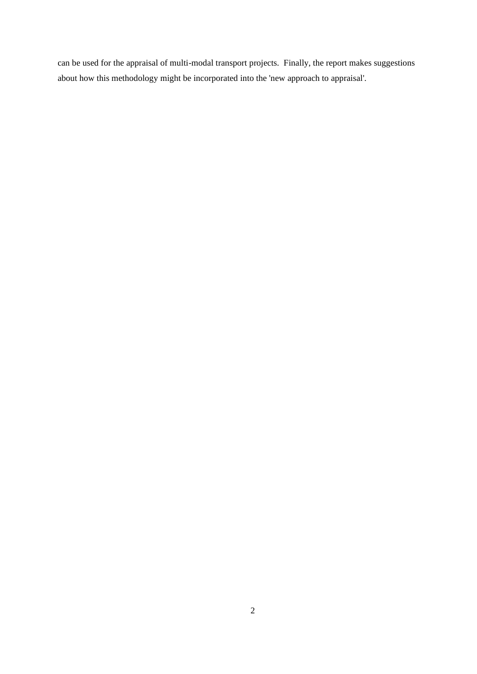can be used for the appraisal of multi-modal transport projects. Finally, the report makes suggestions about how this methodology might be incorporated into the 'new approach to appraisal'.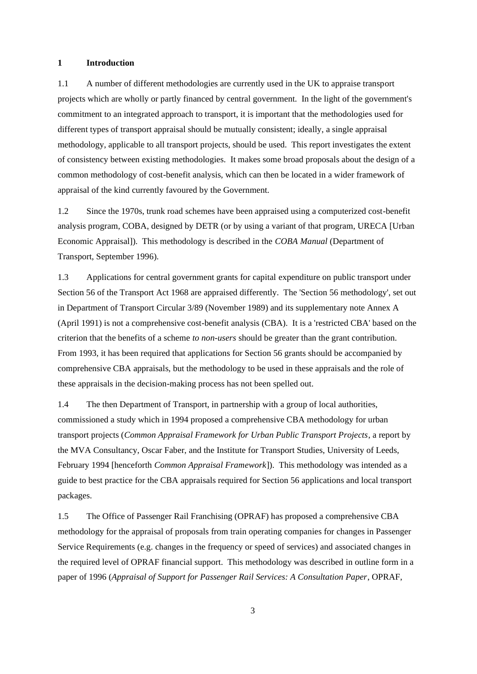### **1 Introduction**

1.1 A number of different methodologies are currently used in the UK to appraise transport projects which are wholly or partly financed by central government. In the light of the government's commitment to an integrated approach to transport, it is important that the methodologies used for different types of transport appraisal should be mutually consistent; ideally, a single appraisal methodology, applicable to all transport projects, should be used. This report investigates the extent of consistency between existing methodologies. It makes some broad proposals about the design of a common methodology of cost-benefit analysis, which can then be located in a wider framework of appraisal of the kind currently favoured by the Government.

1.2 Since the 1970s, trunk road schemes have been appraised using a computerized cost-benefit analysis program, COBA, designed by DETR (or by using a variant of that program, URECA [Urban Economic Appraisal]). This methodology is described in the *COBA Manual* (Department of Transport, September 1996).

1.3 Applications for central government grants for capital expenditure on public transport under Section 56 of the Transport Act 1968 are appraised differently. The 'Section 56 methodology', set out in Department of Transport Circular 3/89 (November 1989) and its supplementary note Annex A (April 1991) is not a comprehensive cost-benefit analysis (CBA). It is a 'restricted CBA' based on the criterion that the benefits of a scheme *to non-users* should be greater than the grant contribution. From 1993, it has been required that applications for Section 56 grants should be accompanied by comprehensive CBA appraisals, but the methodology to be used in these appraisals and the role of these appraisals in the decision-making process has not been spelled out.

1.4 The then Department of Transport, in partnership with a group of local authorities, commissioned a study which in 1994 proposed a comprehensive CBA methodology for urban transport projects (*Common Appraisal Framework for Urban Public Transport Projects*, a report by the MVA Consultancy, Oscar Faber, and the Institute for Transport Studies, University of Leeds, February 1994 [henceforth *Common Appraisal Framework*]). This methodology was intended as a guide to best practice for the CBA appraisals required for Section 56 applications and local transport packages.

1.5 The Office of Passenger Rail Franchising (OPRAF) has proposed a comprehensive CBA methodology for the appraisal of proposals from train operating companies for changes in Passenger Service Requirements (e.g. changes in the frequency or speed of services) and associated changes in the required level of OPRAF financial support. This methodology was described in outline form in a paper of 1996 (*Appraisal of Support for Passenger Rail Services: A Consultation Paper*, OPRAF,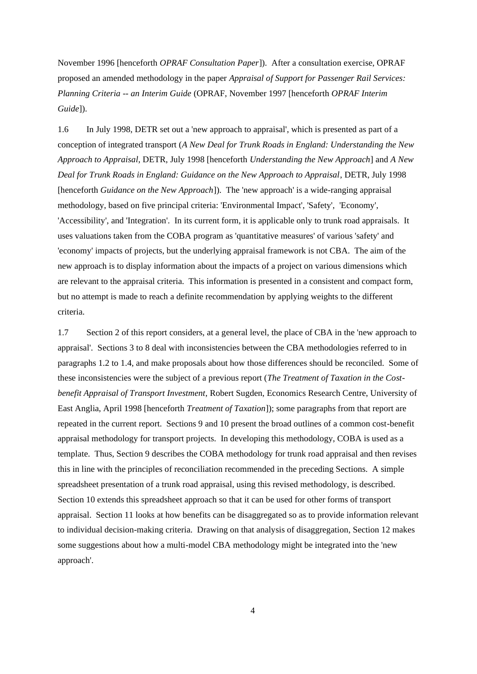November 1996 [henceforth *OPRAF Consultation Paper*]). After a consultation exercise, OPRAF proposed an amended methodology in the paper *Appraisal of Support for Passenger Rail Services: Planning Criteria -- an Interim Guide* (OPRAF, November 1997 [henceforth *OPRAF Interim Guide*]).

1.6 In July 1998, DETR set out a 'new approach to appraisal', which is presented as part of a conception of integrated transport (*A New Deal for Trunk Roads in England: Understanding the New Approach to Appraisal*, DETR, July 1998 [henceforth *Understanding the New Approach*] and *A New Deal for Trunk Roads in England: Guidance on the New Approach to Appraisal*, DETR, July 1998 [henceforth *Guidance on the New Approach*]). The 'new approach' is a wide-ranging appraisal methodology, based on five principal criteria: 'Environmental Impact', 'Safety', 'Economy', 'Accessibility', and 'Integration'. In its current form, it is applicable only to trunk road appraisals. It uses valuations taken from the COBA program as 'quantitative measures' of various 'safety' and 'economy' impacts of projects, but the underlying appraisal framework is not CBA. The aim of the new approach is to display information about the impacts of a project on various dimensions which are relevant to the appraisal criteria. This information is presented in a consistent and compact form, but no attempt is made to reach a definite recommendation by applying weights to the different criteria.

1.7 Section 2 of this report considers, at a general level, the place of CBA in the 'new approach to appraisal'. Sections 3 to 8 deal with inconsistencies between the CBA methodologies referred to in paragraphs 1.2 to 1.4, and make proposals about how those differences should be reconciled. Some of these inconsistencies were the subject of a previous report (*The Treatment of Taxation in the Costbenefit Appraisal of Transport Investment*, Robert Sugden, Economics Research Centre, University of East Anglia, April 1998 [henceforth *Treatment of Taxation*]); some paragraphs from that report are repeated in the current report. Sections 9 and 10 present the broad outlines of a common cost-benefit appraisal methodology for transport projects. In developing this methodology, COBA is used as a template. Thus, Section 9 describes the COBA methodology for trunk road appraisal and then revises this in line with the principles of reconciliation recommended in the preceding Sections. A simple spreadsheet presentation of a trunk road appraisal, using this revised methodology, is described. Section 10 extends this spreadsheet approach so that it can be used for other forms of transport appraisal. Section 11 looks at how benefits can be disaggregated so as to provide information relevant to individual decision-making criteria. Drawing on that analysis of disaggregation, Section 12 makes some suggestions about how a multi-model CBA methodology might be integrated into the 'new approach'.

4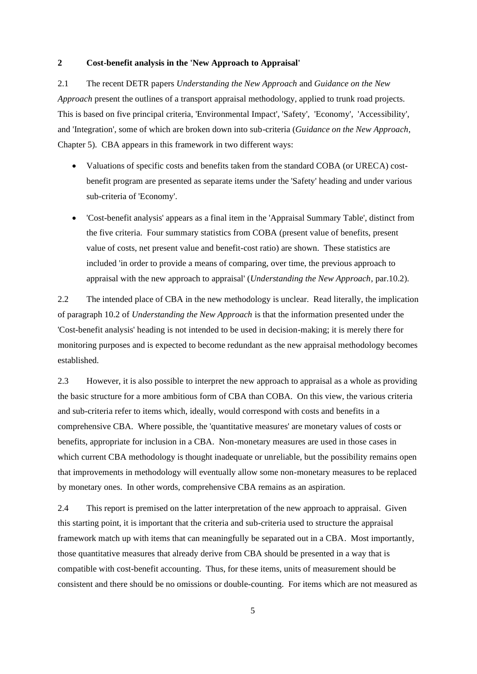#### **2 Cost-benefit analysis in the 'New Approach to Appraisal'**

2.1 The recent DETR papers *Understanding the New Approach* and *Guidance on the New Approach* present the outlines of a transport appraisal methodology, applied to trunk road projects. This is based on five principal criteria, 'Environmental Impact', 'Safety', 'Economy', 'Accessibility', and 'Integration', some of which are broken down into sub-criteria (*Guidance on the New Approach*, Chapter 5). CBA appears in this framework in two different ways:

- Valuations of specific costs and benefits taken from the standard COBA (or URECA) costbenefit program are presented as separate items under the 'Safety' heading and under various sub-criteria of 'Economy'.
- 'Cost-benefit analysis' appears as a final item in the 'Appraisal Summary Table', distinct from the five criteria. Four summary statistics from COBA (present value of benefits, present value of costs, net present value and benefit-cost ratio) are shown. These statistics are included 'in order to provide a means of comparing, over time, the previous approach to appraisal with the new approach to appraisal' (*Understanding the New Approach*, par.10.2).

2.2 The intended place of CBA in the new methodology is unclear. Read literally, the implication of paragraph 10.2 of *Understanding the New Approach* is that the information presented under the 'Cost-benefit analysis' heading is not intended to be used in decision-making; it is merely there for monitoring purposes and is expected to become redundant as the new appraisal methodology becomes established.

2.3 However, it is also possible to interpret the new approach to appraisal as a whole as providing the basic structure for a more ambitious form of CBA than COBA. On this view, the various criteria and sub-criteria refer to items which, ideally, would correspond with costs and benefits in a comprehensive CBA. Where possible, the 'quantitative measures' are monetary values of costs or benefits, appropriate for inclusion in a CBA. Non-monetary measures are used in those cases in which current CBA methodology is thought inadequate or unreliable, but the possibility remains open that improvements in methodology will eventually allow some non-monetary measures to be replaced by monetary ones. In other words, comprehensive CBA remains as an aspiration.

2.4 This report is premised on the latter interpretation of the new approach to appraisal. Given this starting point, it is important that the criteria and sub-criteria used to structure the appraisal framework match up with items that can meaningfully be separated out in a CBA. Most importantly, those quantitative measures that already derive from CBA should be presented in a way that is compatible with cost-benefit accounting. Thus, for these items, units of measurement should be consistent and there should be no omissions or double-counting. For items which are not measured as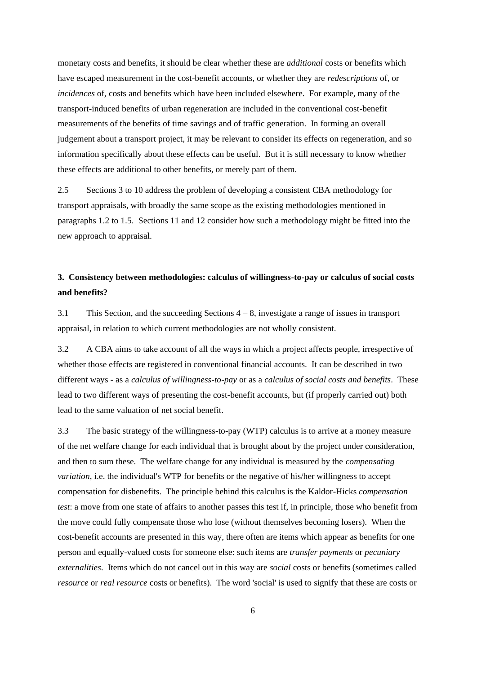monetary costs and benefits, it should be clear whether these are *additional* costs or benefits which have escaped measurement in the cost-benefit accounts, or whether they are *redescriptions* of, or *incidences* of, costs and benefits which have been included elsewhere. For example, many of the transport-induced benefits of urban regeneration are included in the conventional cost-benefit measurements of the benefits of time savings and of traffic generation. In forming an overall judgement about a transport project, it may be relevant to consider its effects on regeneration, and so information specifically about these effects can be useful. But it is still necessary to know whether these effects are additional to other benefits, or merely part of them.

2.5 Sections 3 to 10 address the problem of developing a consistent CBA methodology for transport appraisals, with broadly the same scope as the existing methodologies mentioned in paragraphs 1.2 to 1.5. Sections 11 and 12 consider how such a methodology might be fitted into the new approach to appraisal.

# **3. Consistency between methodologies: calculus of willingness-to-pay or calculus of social costs and benefits?**

3.1 This Section, and the succeeding Sections 4 – 8, investigate a range of issues in transport appraisal, in relation to which current methodologies are not wholly consistent.

3.2 A CBA aims to take account of all the ways in which a project affects people, irrespective of whether those effects are registered in conventional financial accounts. It can be described in two different ways - as a *calculus of willingness-to-pay* or as a *calculus of social costs and benefits*. These lead to two different ways of presenting the cost-benefit accounts, but (if properly carried out) both lead to the same valuation of net social benefit.

3.3 The basic strategy of the willingness-to-pay (WTP) calculus is to arrive at a money measure of the net welfare change for each individual that is brought about by the project under consideration, and then to sum these. The welfare change for any individual is measured by the *compensating variation*, i.e. the individual's WTP for benefits or the negative of his/her willingness to accept compensation for disbenefits. The principle behind this calculus is the Kaldor-Hicks *compensation test*: a move from one state of affairs to another passes this test if, in principle, those who benefit from the move could fully compensate those who lose (without themselves becoming losers). When the cost-benefit accounts are presented in this way, there often are items which appear as benefits for one person and equally-valued costs for someone else: such items are *transfer payments* or *pecuniary externalities*. Items which do not cancel out in this way are *social* costs or benefits (sometimes called *resource* or *real resource* costs or benefits). The word 'social' is used to signify that these are costs or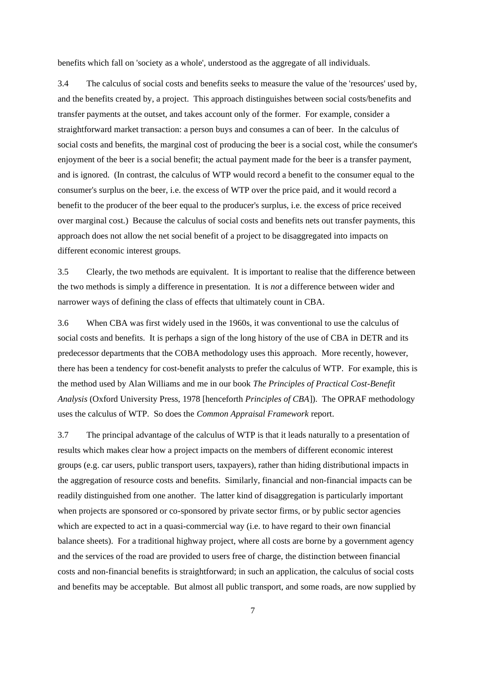benefits which fall on 'society as a whole', understood as the aggregate of all individuals.

3.4 The calculus of social costs and benefits seeks to measure the value of the 'resources' used by, and the benefits created by, a project. This approach distinguishes between social costs/benefits and transfer payments at the outset, and takes account only of the former. For example, consider a straightforward market transaction: a person buys and consumes a can of beer. In the calculus of social costs and benefits, the marginal cost of producing the beer is a social cost, while the consumer's enjoyment of the beer is a social benefit; the actual payment made for the beer is a transfer payment, and is ignored. (In contrast, the calculus of WTP would record a benefit to the consumer equal to the consumer's surplus on the beer, i.e. the excess of WTP over the price paid, and it would record a benefit to the producer of the beer equal to the producer's surplus, i.e. the excess of price received over marginal cost.) Because the calculus of social costs and benefits nets out transfer payments, this approach does not allow the net social benefit of a project to be disaggregated into impacts on different economic interest groups.

3.5 Clearly, the two methods are equivalent. It is important to realise that the difference between the two methods is simply a difference in presentation. It is *not* a difference between wider and narrower ways of defining the class of effects that ultimately count in CBA.

3.6 When CBA was first widely used in the 1960s, it was conventional to use the calculus of social costs and benefits. It is perhaps a sign of the long history of the use of CBA in DETR and its predecessor departments that the COBA methodology uses this approach. More recently, however, there has been a tendency for cost-benefit analysts to prefer the calculus of WTP. For example, this is the method used by Alan Williams and me in our book *The Principles of Practical Cost-Benefit Analysis* (Oxford University Press, 1978 [henceforth *Principles of CBA*]). The OPRAF methodology uses the calculus of WTP. So does the *Common Appraisal Framework* report.

3.7 The principal advantage of the calculus of WTP is that it leads naturally to a presentation of results which makes clear how a project impacts on the members of different economic interest groups (e.g. car users, public transport users, taxpayers), rather than hiding distributional impacts in the aggregation of resource costs and benefits. Similarly, financial and non-financial impacts can be readily distinguished from one another. The latter kind of disaggregation is particularly important when projects are sponsored or co-sponsored by private sector firms, or by public sector agencies which are expected to act in a quasi-commercial way (i.e. to have regard to their own financial balance sheets). For a traditional highway project, where all costs are borne by a government agency and the services of the road are provided to users free of charge, the distinction between financial costs and non-financial benefits is straightforward; in such an application, the calculus of social costs and benefits may be acceptable. But almost all public transport, and some roads, are now supplied by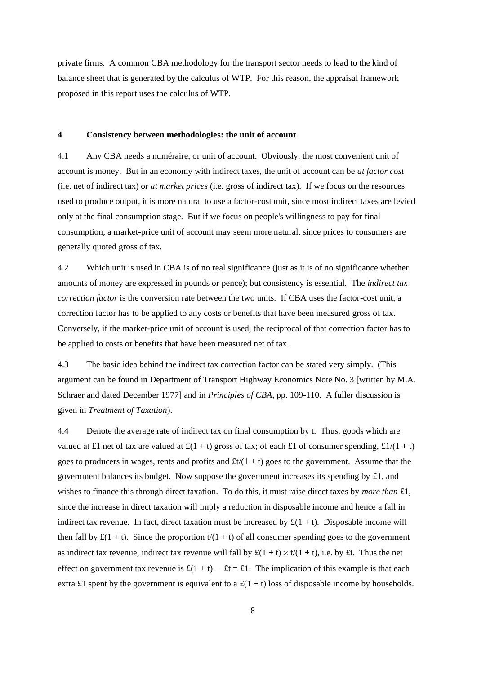private firms. A common CBA methodology for the transport sector needs to lead to the kind of balance sheet that is generated by the calculus of WTP. For this reason, the appraisal framework proposed in this report uses the calculus of WTP.

#### **4 Consistency between methodologies: the unit of account**

4.1 Any CBA needs a numéraire, or unit of account. Obviously, the most convenient unit of account is money. But in an economy with indirect taxes, the unit of account can be *at factor cost* (i.e. net of indirect tax) or *at market prices* (i.e. gross of indirect tax). If we focus on the resources used to produce output, it is more natural to use a factor-cost unit, since most indirect taxes are levied only at the final consumption stage. But if we focus on people's willingness to pay for final consumption, a market-price unit of account may seem more natural, since prices to consumers are generally quoted gross of tax.

4.2 Which unit is used in CBA is of no real significance (just as it is of no significance whether amounts of money are expressed in pounds or pence); but consistency is essential. The *indirect tax correction factor* is the conversion rate between the two units. If CBA uses the factor-cost unit, a correction factor has to be applied to any costs or benefits that have been measured gross of tax. Conversely, if the market-price unit of account is used, the reciprocal of that correction factor has to be applied to costs or benefits that have been measured net of tax.

4.3 The basic idea behind the indirect tax correction factor can be stated very simply. (This argument can be found in Department of Transport Highway Economics Note No. 3 [written by M.A. Schraer and dated December 1977] and in *Principles of CBA*, pp. 109-110. A fuller discussion is given in *Treatment of Taxation*).

4.4 Denote the average rate of indirect tax on final consumption by t. Thus, goods which are valued at £1 net of tax are valued at £(1 + t) gross of tax; of each £1 of consumer spending, £1/(1 + t) goes to producers in wages, rents and profits and  $\text{ft}/(1 + t)$  goes to the government. Assume that the government balances its budget. Now suppose the government increases its spending by £1, and wishes to finance this through direct taxation. To do this, it must raise direct taxes by *more than* £1, since the increase in direct taxation will imply a reduction in disposable income and hence a fall in indirect tax revenue. In fact, direct taxation must be increased by  $\pounds(1 + t)$ . Disposable income will then fall by  $\mathfrak{L}(1 + t)$ . Since the proportion  $t/(1 + t)$  of all consumer spending goes to the government as indirect tax revenue, indirect tax revenue will fall by  $\mathfrak{L}(1 + t) \times t/(1 + t)$ , i.e. by £t. Thus the net effect on government tax revenue is  $\mathbf{f}(1 + t) - \mathbf{f}t = \mathbf{f}$ . The implication of this example is that each extra £1 spent by the government is equivalent to a  $\mathcal{L}(1 + t)$  loss of disposable income by households.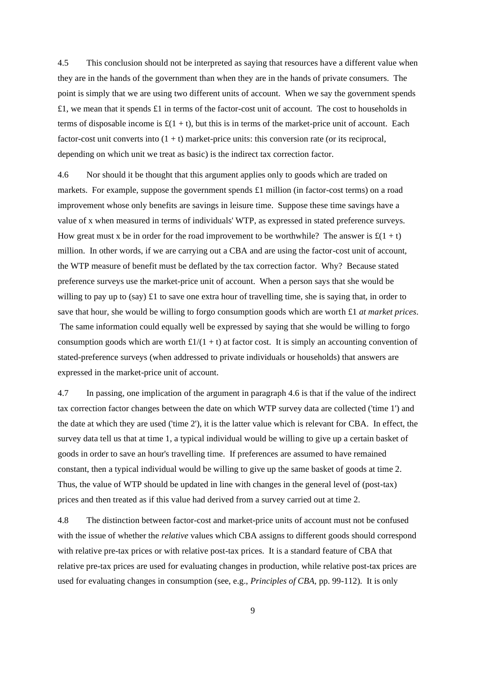4.5 This conclusion should not be interpreted as saying that resources have a different value when they are in the hands of the government than when they are in the hands of private consumers. The point is simply that we are using two different units of account. When we say the government spends  $£1$ , we mean that it spends £1 in terms of the factor-cost unit of account. The cost to households in terms of disposable income is  $\mathfrak{L}(1 + t)$ , but this is in terms of the market-price unit of account. Each factor-cost unit converts into  $(1 + t)$  market-price units: this conversion rate (or its reciprocal, depending on which unit we treat as basic) is the indirect tax correction factor.

4.6 Nor should it be thought that this argument applies only to goods which are traded on markets. For example, suppose the government spends  $\pounds1$  million (in factor-cost terms) on a road improvement whose only benefits are savings in leisure time. Suppose these time savings have a value of x when measured in terms of individuals' WTP, as expressed in stated preference surveys. How great must x be in order for the road improvement to be worthwhile? The answer is  $\mathfrak{L}(1 + t)$ million. In other words, if we are carrying out a CBA and are using the factor-cost unit of account, the WTP measure of benefit must be deflated by the tax correction factor. Why? Because stated preference surveys use the market-price unit of account. When a person says that she would be willing to pay up to (say)  $\pounds$ 1 to save one extra hour of travelling time, she is saying that, in order to save that hour, she would be willing to forgo consumption goods which are worth £1 *at market prices*. The same information could equally well be expressed by saying that she would be willing to forgo consumption goods which are worth  $\frac{\pounds}{1/(1 + t)}$  at factor cost. It is simply an accounting convention of stated-preference surveys (when addressed to private individuals or households) that answers are expressed in the market-price unit of account.

4.7 In passing, one implication of the argument in paragraph 4.6 is that if the value of the indirect tax correction factor changes between the date on which WTP survey data are collected ('time 1') and the date at which they are used ('time 2'), it is the latter value which is relevant for CBA. In effect, the survey data tell us that at time 1, a typical individual would be willing to give up a certain basket of goods in order to save an hour's travelling time. If preferences are assumed to have remained constant, then a typical individual would be willing to give up the same basket of goods at time 2. Thus, the value of WTP should be updated in line with changes in the general level of (post-tax) prices and then treated as if this value had derived from a survey carried out at time 2.

4.8 The distinction between factor-cost and market-price units of account must not be confused with the issue of whether the *relative* values which CBA assigns to different goods should correspond with relative pre-tax prices or with relative post-tax prices. It is a standard feature of CBA that relative pre-tax prices are used for evaluating changes in production, while relative post-tax prices are used for evaluating changes in consumption (see, e.g., *Principles of CBA,* pp. 99-112). It is only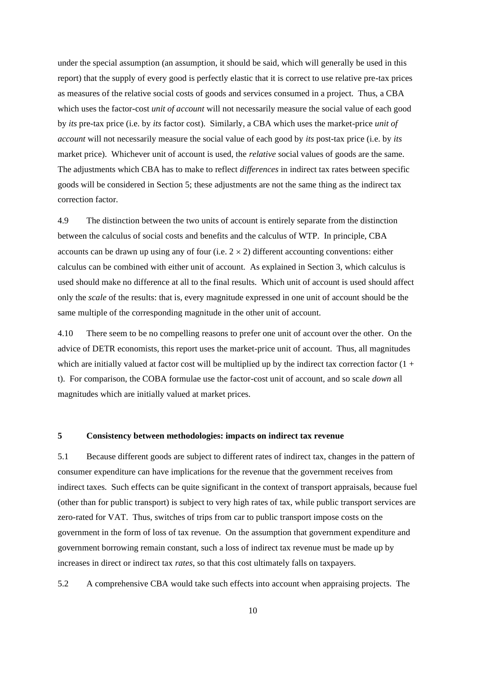under the special assumption (an assumption, it should be said, which will generally be used in this report) that the supply of every good is perfectly elastic that it is correct to use relative pre-tax prices as measures of the relative social costs of goods and services consumed in a project. Thus, a CBA which uses the factor-cost *unit of account* will not necessarily measure the social value of each good by *its* pre-tax price (i.e. by *its* factor cost). Similarly, a CBA which uses the market-price *unit of account* will not necessarily measure the social value of each good by *its* post-tax price (i.e. by *its* market price). Whichever unit of account is used, the *relative* social values of goods are the same. The adjustments which CBA has to make to reflect *differences* in indirect tax rates between specific goods will be considered in Section 5; these adjustments are not the same thing as the indirect tax correction factor.

4.9 The distinction between the two units of account is entirely separate from the distinction between the calculus of social costs and benefits and the calculus of WTP. In principle, CBA accounts can be drawn up using any of four (i.e.  $2 \times 2$ ) different accounting conventions: either calculus can be combined with either unit of account. As explained in Section 3, which calculus is used should make no difference at all to the final results. Which unit of account is used should affect only the *scale* of the results: that is, every magnitude expressed in one unit of account should be the same multiple of the corresponding magnitude in the other unit of account.

4.10 There seem to be no compelling reasons to prefer one unit of account over the other. On the advice of DETR economists, this report uses the market-price unit of account. Thus, all magnitudes which are initially valued at factor cost will be multiplied up by the indirect tax correction factor  $(1 +$ t). For comparison, the COBA formulae use the factor-cost unit of account, and so scale *down* all magnitudes which are initially valued at market prices.

#### **5 Consistency between methodologies: impacts on indirect tax revenue**

5.1 Because different goods are subject to different rates of indirect tax, changes in the pattern of consumer expenditure can have implications for the revenue that the government receives from indirect taxes. Such effects can be quite significant in the context of transport appraisals, because fuel (other than for public transport) is subject to very high rates of tax, while public transport services are zero-rated for VAT. Thus, switches of trips from car to public transport impose costs on the government in the form of loss of tax revenue. On the assumption that government expenditure and government borrowing remain constant, such a loss of indirect tax revenue must be made up by increases in direct or indirect tax *rates*, so that this cost ultimately falls on taxpayers.

5.2 A comprehensive CBA would take such effects into account when appraising projects. The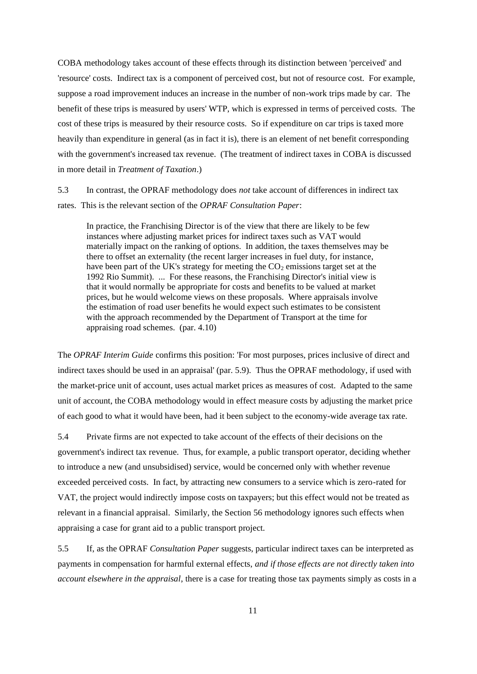COBA methodology takes account of these effects through its distinction between 'perceived' and 'resource' costs. Indirect tax is a component of perceived cost, but not of resource cost. For example, suppose a road improvement induces an increase in the number of non-work trips made by car. The benefit of these trips is measured by users' WTP, which is expressed in terms of perceived costs. The cost of these trips is measured by their resource costs. So if expenditure on car trips is taxed more heavily than expenditure in general (as in fact it is), there is an element of net benefit corresponding with the government's increased tax revenue. (The treatment of indirect taxes in COBA is discussed in more detail in *Treatment of Taxation*.)

5.3 In contrast, the OPRAF methodology does *not* take account of differences in indirect tax rates. This is the relevant section of the *OPRAF Consultation Paper*:

In practice, the Franchising Director is of the view that there are likely to be few instances where adjusting market prices for indirect taxes such as VAT would materially impact on the ranking of options. In addition, the taxes themselves may be there to offset an externality (the recent larger increases in fuel duty, for instance, have been part of the UK's strategy for meeting the  $CO<sub>2</sub>$  emissions target set at the 1992 Rio Summit). ... For these reasons, the Franchising Director's initial view is that it would normally be appropriate for costs and benefits to be valued at market prices, but he would welcome views on these proposals. Where appraisals involve the estimation of road user benefits he would expect such estimates to be consistent with the approach recommended by the Department of Transport at the time for appraising road schemes. (par. 4.10)

The *OPRAF Interim Guide* confirms this position: 'For most purposes, prices inclusive of direct and indirect taxes should be used in an appraisal' (par. 5.9). Thus the OPRAF methodology, if used with the market-price unit of account, uses actual market prices as measures of cost. Adapted to the same unit of account, the COBA methodology would in effect measure costs by adjusting the market price of each good to what it would have been, had it been subject to the economy-wide average tax rate.

5.4 Private firms are not expected to take account of the effects of their decisions on the government's indirect tax revenue. Thus, for example, a public transport operator, deciding whether to introduce a new (and unsubsidised) service, would be concerned only with whether revenue exceeded perceived costs. In fact, by attracting new consumers to a service which is zero-rated for VAT, the project would indirectly impose costs on taxpayers; but this effect would not be treated as relevant in a financial appraisal. Similarly, the Section 56 methodology ignores such effects when appraising a case for grant aid to a public transport project.

5.5 If, as the OPRAF *Consultation Paper* suggests, particular indirect taxes can be interpreted as payments in compensation for harmful external effects, *and if those effects are not directly taken into account elsewhere in the appraisal*, there is a case for treating those tax payments simply as costs in a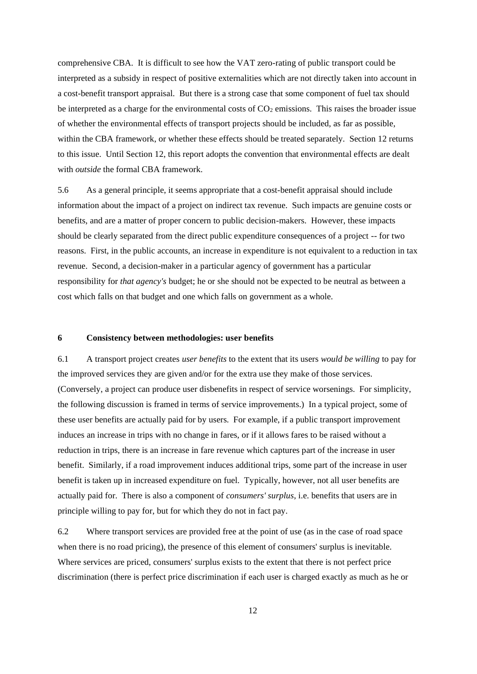comprehensive CBA. It is difficult to see how the VAT zero-rating of public transport could be interpreted as a subsidy in respect of positive externalities which are not directly taken into account in a cost-benefit transport appraisal. But there is a strong case that some component of fuel tax should be interpreted as a charge for the environmental costs of  $CO<sub>2</sub>$  emissions. This raises the broader issue of whether the environmental effects of transport projects should be included, as far as possible, within the CBA framework, or whether these effects should be treated separately. Section 12 returns to this issue. Until Section 12, this report adopts the convention that environmental effects are dealt with *outside* the formal CBA framework.

5.6 As a general principle, it seems appropriate that a cost-benefit appraisal should include information about the impact of a project on indirect tax revenue. Such impacts are genuine costs or benefits, and are a matter of proper concern to public decision-makers. However, these impacts should be clearly separated from the direct public expenditure consequences of a project -- for two reasons. First, in the public accounts, an increase in expenditure is not equivalent to a reduction in tax revenue. Second, a decision-maker in a particular agency of government has a particular responsibility for *that agency's* budget; he or she should not be expected to be neutral as between a cost which falls on that budget and one which falls on government as a whole.

# **6 Consistency between methodologies: user benefits**

6.1 A transport project creates *user benefits* to the extent that its users *would be willing* to pay for the improved services they are given and/or for the extra use they make of those services. (Conversely, a project can produce user disbenefits in respect of service worsenings. For simplicity, the following discussion is framed in terms of service improvements.) In a typical project, some of these user benefits are actually paid for by users. For example, if a public transport improvement induces an increase in trips with no change in fares, or if it allows fares to be raised without a reduction in trips, there is an increase in fare revenue which captures part of the increase in user benefit. Similarly, if a road improvement induces additional trips, some part of the increase in user benefit is taken up in increased expenditure on fuel. Typically, however, not all user benefits are actually paid for. There is also a component of *consumers' surplus*, i.e. benefits that users are in principle willing to pay for, but for which they do not in fact pay.

6.2 Where transport services are provided free at the point of use (as in the case of road space when there is no road pricing), the presence of this element of consumers' surplus is inevitable. Where services are priced, consumers' surplus exists to the extent that there is not perfect price discrimination (there is perfect price discrimination if each user is charged exactly as much as he or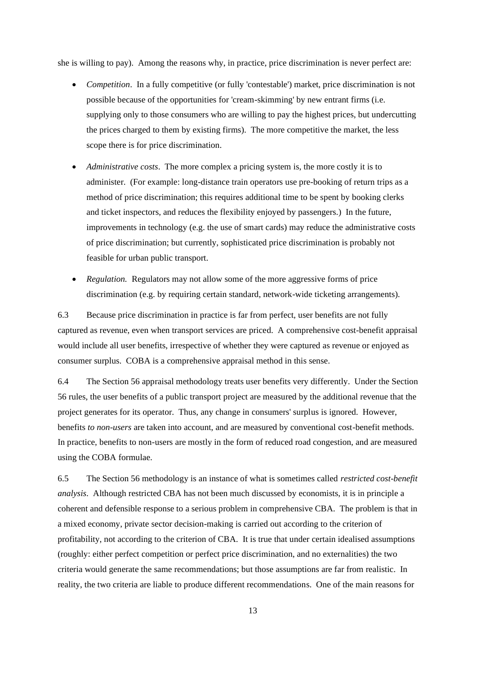she is willing to pay). Among the reasons why, in practice, price discrimination is never perfect are:

- *Competition*. In a fully competitive (or fully 'contestable') market, price discrimination is not possible because of the opportunities for 'cream-skimming' by new entrant firms (i.e. supplying only to those consumers who are willing to pay the highest prices, but undercutting the prices charged to them by existing firms). The more competitive the market, the less scope there is for price discrimination.
- *Administrative costs*. The more complex a pricing system is, the more costly it is to administer. (For example: long-distance train operators use pre-booking of return trips as a method of price discrimination; this requires additional time to be spent by booking clerks and ticket inspectors, and reduces the flexibility enjoyed by passengers.) In the future, improvements in technology (e.g. the use of smart cards) may reduce the administrative costs of price discrimination; but currently, sophisticated price discrimination is probably not feasible for urban public transport.
- *Regulation.* Regulators may not allow some of the more aggressive forms of price discrimination (e.g. by requiring certain standard, network-wide ticketing arrangements).

6.3 Because price discrimination in practice is far from perfect, user benefits are not fully captured as revenue, even when transport services are priced. A comprehensive cost-benefit appraisal would include all user benefits, irrespective of whether they were captured as revenue or enjoyed as consumer surplus. COBA is a comprehensive appraisal method in this sense.

6.4 The Section 56 appraisal methodology treats user benefits very differently. Under the Section 56 rules, the user benefits of a public transport project are measured by the additional revenue that the project generates for its operator. Thus, any change in consumers' surplus is ignored. However, benefits *to non-users* are taken into account, and are measured by conventional cost-benefit methods. In practice, benefits to non-users are mostly in the form of reduced road congestion, and are measured using the COBA formulae.

6.5 The Section 56 methodology is an instance of what is sometimes called *restricted cost-benefit analysis*. Although restricted CBA has not been much discussed by economists, it is in principle a coherent and defensible response to a serious problem in comprehensive CBA. The problem is that in a mixed economy, private sector decision-making is carried out according to the criterion of profitability, not according to the criterion of CBA. It is true that under certain idealised assumptions (roughly: either perfect competition or perfect price discrimination, and no externalities) the two criteria would generate the same recommendations; but those assumptions are far from realistic. In reality, the two criteria are liable to produce different recommendations. One of the main reasons for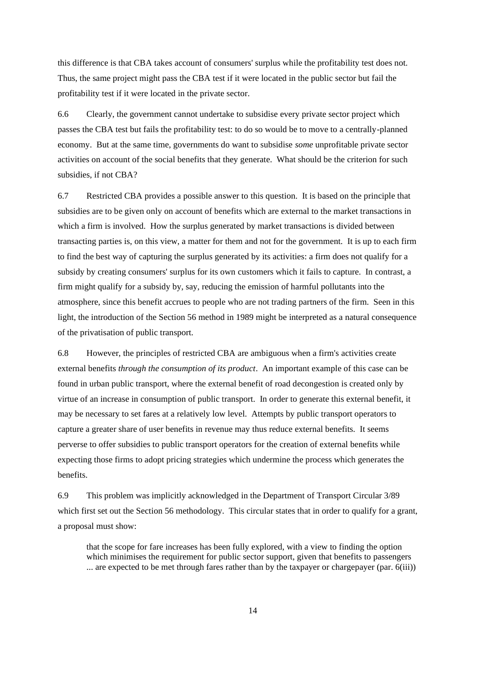this difference is that CBA takes account of consumers' surplus while the profitability test does not. Thus, the same project might pass the CBA test if it were located in the public sector but fail the profitability test if it were located in the private sector.

6.6 Clearly, the government cannot undertake to subsidise every private sector project which passes the CBA test but fails the profitability test: to do so would be to move to a centrally-planned economy. But at the same time, governments do want to subsidise *some* unprofitable private sector activities on account of the social benefits that they generate. What should be the criterion for such subsidies, if not CBA?

6.7 Restricted CBA provides a possible answer to this question. It is based on the principle that subsidies are to be given only on account of benefits which are external to the market transactions in which a firm is involved. How the surplus generated by market transactions is divided between transacting parties is, on this view, a matter for them and not for the government. It is up to each firm to find the best way of capturing the surplus generated by its activities: a firm does not qualify for a subsidy by creating consumers' surplus for its own customers which it fails to capture. In contrast, a firm might qualify for a subsidy by, say, reducing the emission of harmful pollutants into the atmosphere, since this benefit accrues to people who are not trading partners of the firm. Seen in this light, the introduction of the Section 56 method in 1989 might be interpreted as a natural consequence of the privatisation of public transport.

6.8 However, the principles of restricted CBA are ambiguous when a firm's activities create external benefits *through the consumption of its product*. An important example of this case can be found in urban public transport, where the external benefit of road decongestion is created only by virtue of an increase in consumption of public transport. In order to generate this external benefit, it may be necessary to set fares at a relatively low level. Attempts by public transport operators to capture a greater share of user benefits in revenue may thus reduce external benefits. It seems perverse to offer subsidies to public transport operators for the creation of external benefits while expecting those firms to adopt pricing strategies which undermine the process which generates the benefits.

6.9 This problem was implicitly acknowledged in the Department of Transport Circular 3/89 which first set out the Section 56 methodology. This circular states that in order to qualify for a grant, a proposal must show:

that the scope for fare increases has been fully explored, with a view to finding the option which minimises the requirement for public sector support, given that benefits to passengers ... are expected to be met through fares rather than by the taxpayer or chargepayer (par. 6(iii))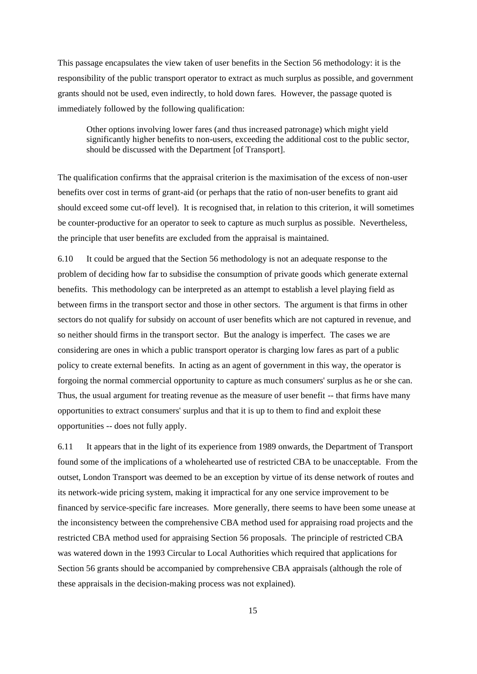This passage encapsulates the view taken of user benefits in the Section 56 methodology: it is the responsibility of the public transport operator to extract as much surplus as possible, and government grants should not be used, even indirectly, to hold down fares. However, the passage quoted is immediately followed by the following qualification:

Other options involving lower fares (and thus increased patronage) which might yield significantly higher benefits to non-users, exceeding the additional cost to the public sector, should be discussed with the Department [of Transport].

The qualification confirms that the appraisal criterion is the maximisation of the excess of non-user benefits over cost in terms of grant-aid (or perhaps that the ratio of non-user benefits to grant aid should exceed some cut-off level). It is recognised that, in relation to this criterion, it will sometimes be counter-productive for an operator to seek to capture as much surplus as possible. Nevertheless, the principle that user benefits are excluded from the appraisal is maintained.

6.10 It could be argued that the Section 56 methodology is not an adequate response to the problem of deciding how far to subsidise the consumption of private goods which generate external benefits. This methodology can be interpreted as an attempt to establish a level playing field as between firms in the transport sector and those in other sectors. The argument is that firms in other sectors do not qualify for subsidy on account of user benefits which are not captured in revenue, and so neither should firms in the transport sector. But the analogy is imperfect. The cases we are considering are ones in which a public transport operator is charging low fares as part of a public policy to create external benefits. In acting as an agent of government in this way, the operator is forgoing the normal commercial opportunity to capture as much consumers' surplus as he or she can. Thus, the usual argument for treating revenue as the measure of user benefit -- that firms have many opportunities to extract consumers' surplus and that it is up to them to find and exploit these opportunities -- does not fully apply.

6.11 It appears that in the light of its experience from 1989 onwards, the Department of Transport found some of the implications of a wholehearted use of restricted CBA to be unacceptable. From the outset, London Transport was deemed to be an exception by virtue of its dense network of routes and its network-wide pricing system, making it impractical for any one service improvement to be financed by service-specific fare increases. More generally, there seems to have been some unease at the inconsistency between the comprehensive CBA method used for appraising road projects and the restricted CBA method used for appraising Section 56 proposals. The principle of restricted CBA was watered down in the 1993 Circular to Local Authorities which required that applications for Section 56 grants should be accompanied by comprehensive CBA appraisals (although the role of these appraisals in the decision-making process was not explained).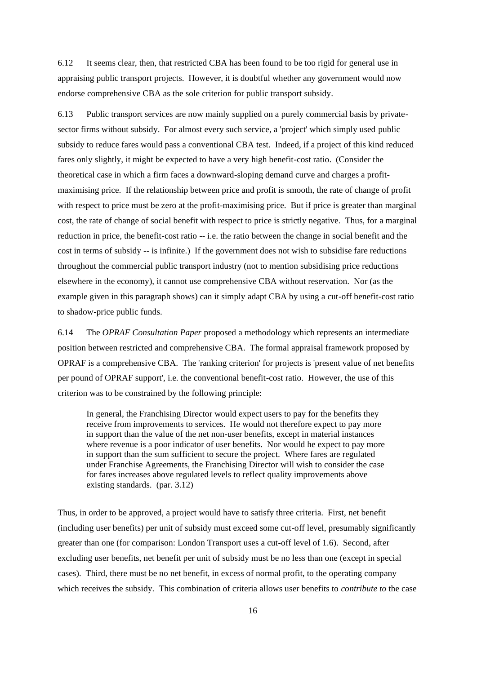6.12 It seems clear, then, that restricted CBA has been found to be too rigid for general use in appraising public transport projects. However, it is doubtful whether any government would now endorse comprehensive CBA as the sole criterion for public transport subsidy.

6.13 Public transport services are now mainly supplied on a purely commercial basis by privatesector firms without subsidy. For almost every such service, a 'project' which simply used public subsidy to reduce fares would pass a conventional CBA test. Indeed, if a project of this kind reduced fares only slightly, it might be expected to have a very high benefit-cost ratio. (Consider the theoretical case in which a firm faces a downward-sloping demand curve and charges a profitmaximising price. If the relationship between price and profit is smooth, the rate of change of profit with respect to price must be zero at the profit-maximising price. But if price is greater than marginal cost, the rate of change of social benefit with respect to price is strictly negative. Thus, for a marginal reduction in price, the benefit-cost ratio -- i.e. the ratio between the change in social benefit and the cost in terms of subsidy -- is infinite.) If the government does not wish to subsidise fare reductions throughout the commercial public transport industry (not to mention subsidising price reductions elsewhere in the economy), it cannot use comprehensive CBA without reservation. Nor (as the example given in this paragraph shows) can it simply adapt CBA by using a cut-off benefit-cost ratio to shadow-price public funds.

6.14 The *OPRAF Consultation Paper* proposed a methodology which represents an intermediate position between restricted and comprehensive CBA. The formal appraisal framework proposed by OPRAF is a comprehensive CBA. The 'ranking criterion' for projects is 'present value of net benefits per pound of OPRAF support', i.e. the conventional benefit-cost ratio. However, the use of this criterion was to be constrained by the following principle:

In general, the Franchising Director would expect users to pay for the benefits they receive from improvements to services. He would not therefore expect to pay more in support than the value of the net non-user benefits, except in material instances where revenue is a poor indicator of user benefits. Nor would he expect to pay more in support than the sum sufficient to secure the project. Where fares are regulated under Franchise Agreements, the Franchising Director will wish to consider the case for fares increases above regulated levels to reflect quality improvements above existing standards. (par. 3.12)

Thus, in order to be approved, a project would have to satisfy three criteria. First, net benefit (including user benefits) per unit of subsidy must exceed some cut-off level, presumably significantly greater than one (for comparison: London Transport uses a cut-off level of 1.6). Second, after excluding user benefits, net benefit per unit of subsidy must be no less than one (except in special cases). Third, there must be no net benefit, in excess of normal profit, to the operating company which receives the subsidy. This combination of criteria allows user benefits to *contribute to* the case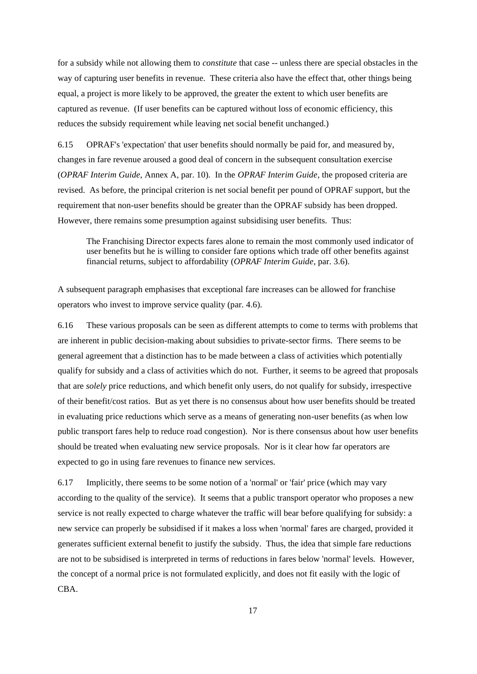for a subsidy while not allowing them to *constitute* that case -- unless there are special obstacles in the way of capturing user benefits in revenue. These criteria also have the effect that, other things being equal, a project is more likely to be approved, the greater the extent to which user benefits are captured as revenue. (If user benefits can be captured without loss of economic efficiency, this reduces the subsidy requirement while leaving net social benefit unchanged.)

6.15 OPRAF's 'expectation' that user benefits should normally be paid for, and measured by, changes in fare revenue aroused a good deal of concern in the subsequent consultation exercise (*OPRAF Interim Guide*, Annex A, par. 10). In the *OPRAF Interim Guide*, the proposed criteria are revised. As before, the principal criterion is net social benefit per pound of OPRAF support, but the requirement that non-user benefits should be greater than the OPRAF subsidy has been dropped. However, there remains some presumption against subsidising user benefits. Thus:

The Franchising Director expects fares alone to remain the most commonly used indicator of user benefits but he is willing to consider fare options which trade off other benefits against financial returns, subject to affordability (*OPRAF Interim Guide*, par. 3.6).

A subsequent paragraph emphasises that exceptional fare increases can be allowed for franchise operators who invest to improve service quality (par. 4.6).

6.16 These various proposals can be seen as different attempts to come to terms with problems that are inherent in public decision-making about subsidies to private-sector firms. There seems to be general agreement that a distinction has to be made between a class of activities which potentially qualify for subsidy and a class of activities which do not. Further, it seems to be agreed that proposals that are *solely* price reductions, and which benefit only users, do not qualify for subsidy, irrespective of their benefit/cost ratios. But as yet there is no consensus about how user benefits should be treated in evaluating price reductions which serve as a means of generating non-user benefits (as when low public transport fares help to reduce road congestion). Nor is there consensus about how user benefits should be treated when evaluating new service proposals. Nor is it clear how far operators are expected to go in using fare revenues to finance new services.

6.17 Implicitly, there seems to be some notion of a 'normal' or 'fair' price (which may vary according to the quality of the service). It seems that a public transport operator who proposes a new service is not really expected to charge whatever the traffic will bear before qualifying for subsidy: a new service can properly be subsidised if it makes a loss when 'normal' fares are charged, provided it generates sufficient external benefit to justify the subsidy. Thus, the idea that simple fare reductions are not to be subsidised is interpreted in terms of reductions in fares below 'normal' levels. However, the concept of a normal price is not formulated explicitly, and does not fit easily with the logic of CBA.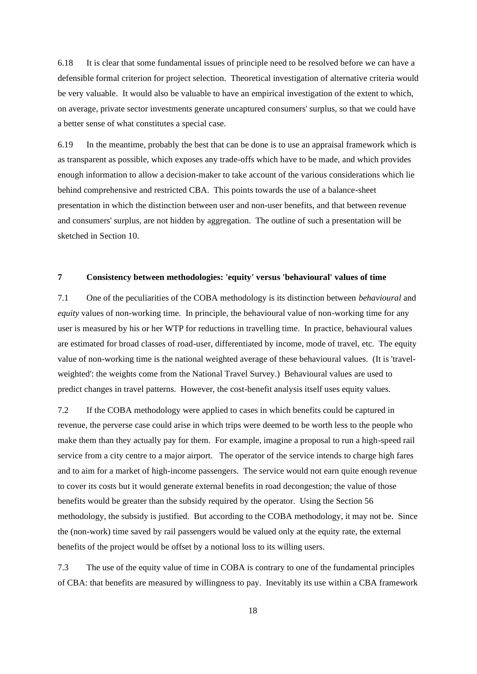6.18 It is clear that some fundamental issues of principle need to be resolved before we can have a defensible formal criterion for project selection. Theoretical investigation of alternative criteria would be very valuable. It would also be valuable to have an empirical investigation of the extent to which, on average, private sector investments generate uncaptured consumers' surplus, so that we could have a better sense of what constitutes a special case.

6.19 In the meantime, probably the best that can be done is to use an appraisal framework which is as transparent as possible, which exposes any trade-offs which have to be made, and which provides enough information to allow a decision-maker to take account of the various considerations which lie behind comprehensive and restricted CBA. This points towards the use of a balance-sheet presentation in which the distinction between user and non-user benefits, and that between revenue and consumers' surplus, are not hidden by aggregation. The outline of such a presentation will be sketched in Section 10.

## **7 Consistency between methodologies: 'equity' versus 'behavioural' values of time**

7.1 One of the peculiarities of the COBA methodology is its distinction between *behavioural* and *equity* values of non-working time. In principle, the behavioural value of non-working time for any user is measured by his or her WTP for reductions in travelling time. In practice, behavioural values are estimated for broad classes of road-user, differentiated by income, mode of travel, etc. The equity value of non-working time is the national weighted average of these behavioural values. (It is 'travelweighted': the weights come from the National Travel Survey.) Behavioural values are used to predict changes in travel patterns. However, the cost-benefit analysis itself uses equity values.

7.2 If the COBA methodology were applied to cases in which benefits could be captured in revenue, the perverse case could arise in which trips were deemed to be worth less to the people who make them than they actually pay for them. For example, imagine a proposal to run a high-speed rail service from a city centre to a major airport. The operator of the service intends to charge high fares and to aim for a market of high-income passengers. The service would not earn quite enough revenue to cover its costs but it would generate external benefits in road decongestion; the value of those benefits would be greater than the subsidy required by the operator. Using the Section 56 methodology, the subsidy is justified. But according to the COBA methodology, it may not be. Since the (non-work) time saved by rail passengers would be valued only at the equity rate, the external benefits of the project would be offset by a notional loss to its willing users.

7.3 The use of the equity value of time in COBA is contrary to one of the fundamental principles of CBA: that benefits are measured by willingness to pay. Inevitably its use within a CBA framework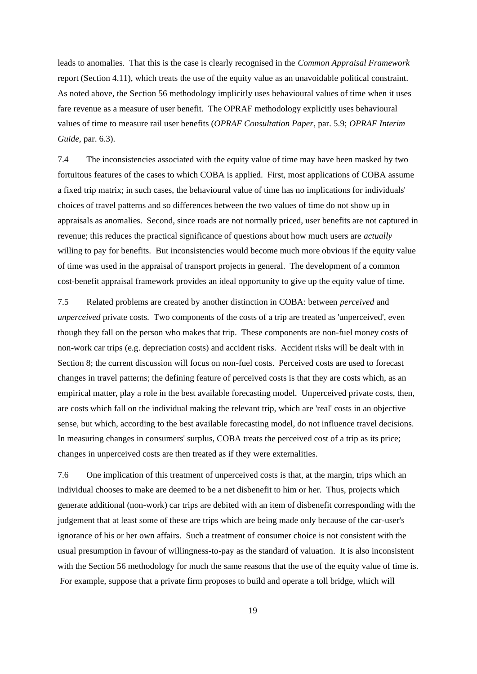leads to anomalies. That this is the case is clearly recognised in the *Common Appraisal Framework* report (Section 4.11), which treats the use of the equity value as an unavoidable political constraint. As noted above, the Section 56 methodology implicitly uses behavioural values of time when it uses fare revenue as a measure of user benefit. The OPRAF methodology explicitly uses behavioural values of time to measure rail user benefits (*OPRAF Consultation Paper*, par. 5.9; *OPRAF Interim Guide*, par. 6.3).

7.4 The inconsistencies associated with the equity value of time may have been masked by two fortuitous features of the cases to which COBA is applied. First, most applications of COBA assume a fixed trip matrix; in such cases, the behavioural value of time has no implications for individuals' choices of travel patterns and so differences between the two values of time do not show up in appraisals as anomalies. Second, since roads are not normally priced, user benefits are not captured in revenue; this reduces the practical significance of questions about how much users are *actually* willing to pay for benefits. But inconsistencies would become much more obvious if the equity value of time was used in the appraisal of transport projects in general. The development of a common cost-benefit appraisal framework provides an ideal opportunity to give up the equity value of time.

7.5 Related problems are created by another distinction in COBA: between *perceived* and *unperceived* private costs. Two components of the costs of a trip are treated as 'unperceived', even though they fall on the person who makes that trip. These components are non-fuel money costs of non-work car trips (e.g. depreciation costs) and accident risks. Accident risks will be dealt with in Section 8; the current discussion will focus on non-fuel costs. Perceived costs are used to forecast changes in travel patterns; the defining feature of perceived costs is that they are costs which, as an empirical matter, play a role in the best available forecasting model. Unperceived private costs, then, are costs which fall on the individual making the relevant trip, which are 'real' costs in an objective sense, but which, according to the best available forecasting model, do not influence travel decisions. In measuring changes in consumers' surplus, COBA treats the perceived cost of a trip as its price; changes in unperceived costs are then treated as if they were externalities.

7.6 One implication of this treatment of unperceived costs is that, at the margin, trips which an individual chooses to make are deemed to be a net disbenefit to him or her. Thus, projects which generate additional (non-work) car trips are debited with an item of disbenefit corresponding with the judgement that at least some of these are trips which are being made only because of the car-user's ignorance of his or her own affairs. Such a treatment of consumer choice is not consistent with the usual presumption in favour of willingness-to-pay as the standard of valuation. It is also inconsistent with the Section 56 methodology for much the same reasons that the use of the equity value of time is. For example, suppose that a private firm proposes to build and operate a toll bridge, which will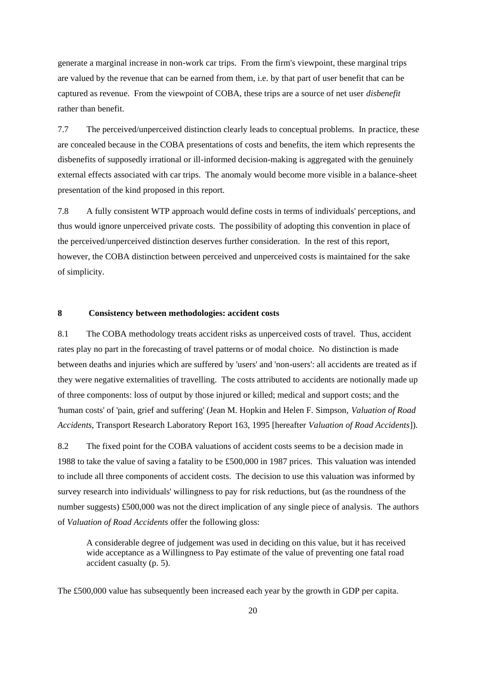generate a marginal increase in non-work car trips. From the firm's viewpoint, these marginal trips are valued by the revenue that can be earned from them, i.e. by that part of user benefit that can be captured as revenue. From the viewpoint of COBA, these trips are a source of net user *disbenefit*  rather than benefit.

7.7 The perceived/unperceived distinction clearly leads to conceptual problems. In practice, these are concealed because in the COBA presentations of costs and benefits, the item which represents the disbenefits of supposedly irrational or ill-informed decision-making is aggregated with the genuinely external effects associated with car trips. The anomaly would become more visible in a balance-sheet presentation of the kind proposed in this report.

7.8 A fully consistent WTP approach would define costs in terms of individuals' perceptions, and thus would ignore unperceived private costs. The possibility of adopting this convention in place of the perceived/unperceived distinction deserves further consideration. In the rest of this report, however, the COBA distinction between perceived and unperceived costs is maintained for the sake of simplicity.

# **8 Consistency between methodologies: accident costs**

8.1 The COBA methodology treats accident risks as unperceived costs of travel. Thus, accident rates play no part in the forecasting of travel patterns or of modal choice. No distinction is made between deaths and injuries which are suffered by 'users' and 'non-users': all accidents are treated as if they were negative externalities of travelling. The costs attributed to accidents are notionally made up of three components: loss of output by those injured or killed; medical and support costs; and the 'human costs' of 'pain, grief and suffering' (Jean M. Hopkin and Helen F. Simpson, *Valuation of Road Accidents*, Transport Research Laboratory Report 163, 1995 [hereafter *Valuation of Road Accidents*]).

8.2 The fixed point for the COBA valuations of accident costs seems to be a decision made in 1988 to take the value of saving a fatality to be £500,000 in 1987 prices. This valuation was intended to include all three components of accident costs. The decision to use this valuation was informed by survey research into individuals' willingness to pay for risk reductions, but (as the roundness of the number suggests) £500,000 was not the direct implication of any single piece of analysis. The authors of *Valuation of Road Accidents* offer the following gloss:

A considerable degree of judgement was used in deciding on this value, but it has received wide acceptance as a Willingness to Pay estimate of the value of preventing one fatal road accident casualty (p. 5).

The £500,000 value has subsequently been increased each year by the growth in GDP per capita.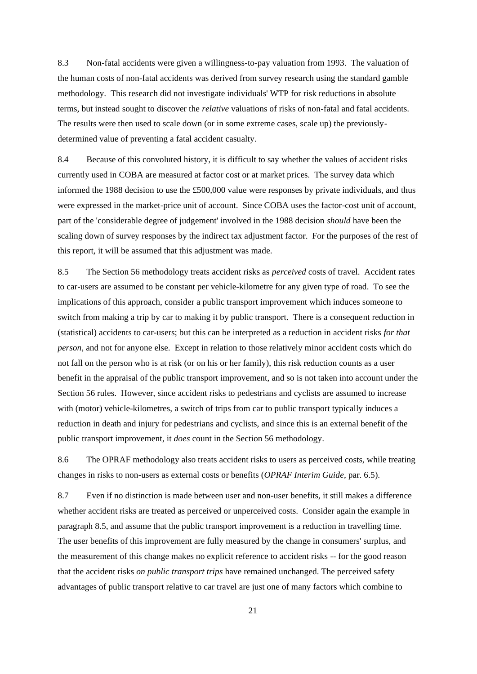8.3 Non-fatal accidents were given a willingness-to-pay valuation from 1993. The valuation of the human costs of non-fatal accidents was derived from survey research using the standard gamble methodology. This research did not investigate individuals' WTP for risk reductions in absolute terms, but instead sought to discover the *relative* valuations of risks of non-fatal and fatal accidents. The results were then used to scale down (or in some extreme cases, scale up) the previouslydetermined value of preventing a fatal accident casualty.

8.4 Because of this convoluted history, it is difficult to say whether the values of accident risks currently used in COBA are measured at factor cost or at market prices. The survey data which informed the 1988 decision to use the £500,000 value were responses by private individuals, and thus were expressed in the market-price unit of account. Since COBA uses the factor-cost unit of account, part of the 'considerable degree of judgement' involved in the 1988 decision *should* have been the scaling down of survey responses by the indirect tax adjustment factor. For the purposes of the rest of this report, it will be assumed that this adjustment was made.

8.5 The Section 56 methodology treats accident risks as *perceived* costs of travel. Accident rates to car-users are assumed to be constant per vehicle-kilometre for any given type of road. To see the implications of this approach, consider a public transport improvement which induces someone to switch from making a trip by car to making it by public transport. There is a consequent reduction in (statistical) accidents to car-users; but this can be interpreted as a reduction in accident risks *for that person*, and not for anyone else. Except in relation to those relatively minor accident costs which do not fall on the person who is at risk (or on his or her family), this risk reduction counts as a user benefit in the appraisal of the public transport improvement, and so is not taken into account under the Section 56 rules. However, since accident risks to pedestrians and cyclists are assumed to increase with (motor) vehicle-kilometres, a switch of trips from car to public transport typically induces a reduction in death and injury for pedestrians and cyclists, and since this is an external benefit of the public transport improvement, it *does* count in the Section 56 methodology.

8.6 The OPRAF methodology also treats accident risks to users as perceived costs, while treating changes in risks to non-users as external costs or benefits (*OPRAF Interim Guide*, par. 6.5).

8.7 Even if no distinction is made between user and non-user benefits, it still makes a difference whether accident risks are treated as perceived or unperceived costs. Consider again the example in paragraph 8.5, and assume that the public transport improvement is a reduction in travelling time. The user benefits of this improvement are fully measured by the change in consumers' surplus, and the measurement of this change makes no explicit reference to accident risks -- for the good reason that the accident risks *on public transport trips* have remained unchanged. The perceived safety advantages of public transport relative to car travel are just one of many factors which combine to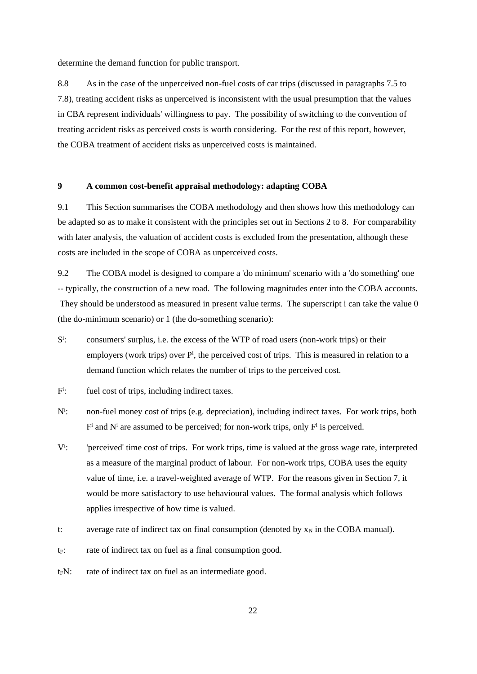determine the demand function for public transport.

8.8 As in the case of the unperceived non-fuel costs of car trips (discussed in paragraphs 7.5 to 7.8), treating accident risks as unperceived is inconsistent with the usual presumption that the values in CBA represent individuals' willingness to pay. The possibility of switching to the convention of treating accident risks as perceived costs is worth considering. For the rest of this report, however, the COBA treatment of accident risks as unperceived costs is maintained.

#### **9 A common cost-benefit appraisal methodology: adapting COBA**

9.1 This Section summarises the COBA methodology and then shows how this methodology can be adapted so as to make it consistent with the principles set out in Sections 2 to 8. For comparability with later analysis, the valuation of accident costs is excluded from the presentation, although these costs are included in the scope of COBA as unperceived costs.

9.2 The COBA model is designed to compare a 'do minimum' scenario with a 'do something' one -- typically, the construction of a new road. The following magnitudes enter into the COBA accounts. They should be understood as measured in present value terms. The superscript i can take the value 0 (the do-minimum scenario) or 1 (the do-something scenario):

- S i : consumers' surplus, i.e. the excess of the WTP of road users (non-work trips) or their employers (work trips) over P<sup>i</sup>, the perceived cost of trips. This is measured in relation to a demand function which relates the number of trips to the perceived cost.
- F i fuel cost of trips, including indirect taxes.
- $N^{i}$ : non-fuel money cost of trips (e.g. depreciation), including indirect taxes. For work trips, both  $F^i$  and  $N^i$  are assumed to be perceived; for non-work trips, only  $F^i$  is perceived.
- $V^{i}$ : 'perceived' time cost of trips. For work trips, time is valued at the gross wage rate, interpreted as a measure of the marginal product of labour. For non-work trips, COBA uses the equity value of time, i.e. a travel-weighted average of WTP. For the reasons given in Section 7, it would be more satisfactory to use behavioural values. The formal analysis which follows applies irrespective of how time is valued.
- t: average rate of indirect tax on final consumption (denoted by  $x_N$  in the COBA manual).
- $t_F$ : rate of indirect tax on fuel as a final consumption good.
- $t_F$ N: rate of indirect tax on fuel as an intermediate good.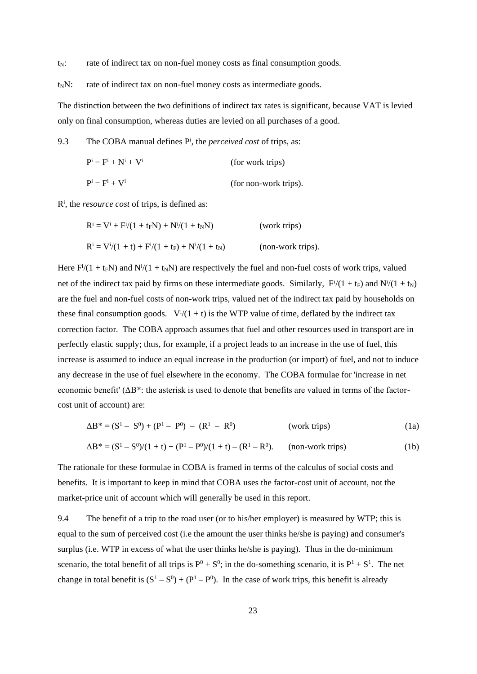$t_N$ : rate of indirect tax on non-fuel money costs as final consumption goods.

 $t_N$ N: rate of indirect tax on non-fuel money costs as intermediate goods.

The distinction between the two definitions of indirect tax rates is significant, because VAT is levied only on final consumption, whereas duties are levied on all purchases of a good.

9.3 The COBA manual defines P<sup>i</sup> , the *perceived cost* of trips, as:

$$
P^{i} = F^{i} + N^{i} + V^{i}
$$
 (for work trips)  
\n
$$
P^{i} = F^{i} + V^{i}
$$
 (for non-work trips).

Ri , the *resource cost* of trips, is defined as:

$$
R^{i} = V^{i} + F^{i}/(1 + t_{F}N) + N^{i}/(1 + t_{N}N)
$$
 (work trips)  

$$
R^{i} = V^{i}/(1 + t) + F^{i}/(1 + t_{F}) + N^{i}/(1 + t_{N})
$$
 (non-work trips).

Here  $F<sup>i</sup>/(1 + t<sub>F</sub>N)$  and  $N<sup>i</sup>/(1 + t<sub>N</sub>N)$  are respectively the fuel and non-fuel costs of work trips, valued net of the indirect tax paid by firms on these intermediate goods. Similarly,  $F^{i}/(1 + t_F)$  and  $N^{i}/(1 + t_N)$ are the fuel and non-fuel costs of non-work trips, valued net of the indirect tax paid by households on these final consumption goods.  $V^{i}/(1 + t)$  is the WTP value of time, deflated by the indirect tax correction factor. The COBA approach assumes that fuel and other resources used in transport are in perfectly elastic supply; thus, for example, if a project leads to an increase in the use of fuel, this increase is assumed to induce an equal increase in the production (or import) of fuel, and not to induce any decrease in the use of fuel elsewhere in the economy. The COBA formulae for 'increase in net economic benefit' (ΔB\*: the asterisk is used to denote that benefits are valued in terms of the factorcost unit of account) are:

$$
\Delta B^* = (S^1 - S^0) + (P^1 - P^0) - (R^1 - R^0)
$$
 (work trips) (1a)

$$
\Delta B^* = (S^1 - S^0)/(1 + t) + (P^1 - P^0)/(1 + t) - (R^1 - R^0).
$$
 (non-work trips) (1b)

The rationale for these formulae in COBA is framed in terms of the calculus of social costs and benefits. It is important to keep in mind that COBA uses the factor-cost unit of account, not the market-price unit of account which will generally be used in this report.

9.4 The benefit of a trip to the road user (or to his/her employer) is measured by WTP; this is equal to the sum of perceived cost (i.e the amount the user thinks he/she is paying) and consumer's surplus (i.e. WTP in excess of what the user thinks he/she is paying). Thus in the do-minimum scenario, the total benefit of all trips is  $P^0 + S^0$ ; in the do-something scenario, it is  $P^1 + S^1$ . The net change in total benefit is  $(S^1 - S^0) + (P^1 - P^0)$ . In the case of work trips, this benefit is already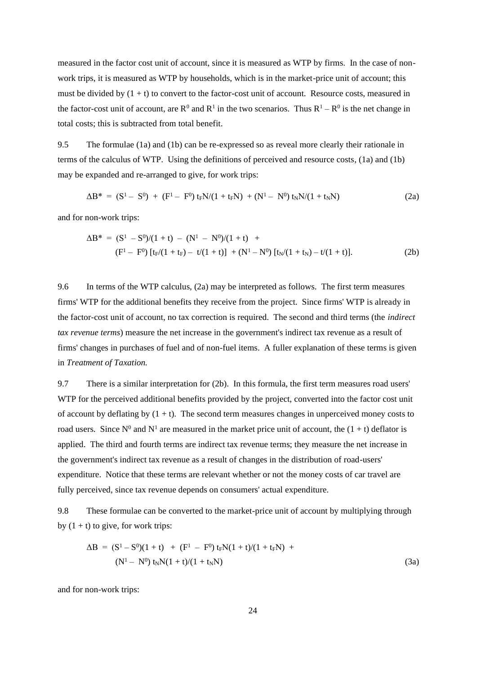measured in the factor cost unit of account, since it is measured as WTP by firms. In the case of nonwork trips, it is measured as WTP by households, which is in the market-price unit of account; this must be divided by  $(1 + t)$  to convert to the factor-cost unit of account. Resource costs, measured in the factor-cost unit of account, are  $R^0$  and  $R^1$  in the two scenarios. Thus  $R^1 - R^0$  is the net change in total costs; this is subtracted from total benefit.

9.5 The formulae (1a) and (1b) can be re-expressed so as reveal more clearly their rationale in terms of the calculus of WTP. Using the definitions of perceived and resource costs, (1a) and (1b) may be expanded and re-arranged to give, for work trips:

$$
\Delta B^* = (S^1 - S^0) + (F^1 - F^0) t_F N / (1 + t_F N) + (N^1 - N^0) t_N N / (1 + t_N N)
$$
 (2a)

and for non-work trips:

$$
\Delta B^* = (S^1 - S^0)/(1 + t) - (N^1 - N^0)/(1 + t) +
$$
  
(F<sup>1</sup> – F<sup>0</sup>) [t<sub>F</sub>/(1 + t<sub>F</sub>) – t/(1 + t)] + (N<sup>1</sup> – N<sup>0</sup>) [t<sub>N</sub>/(1 + t<sub>N</sub>) – t/(1 + t)]. (2b)

9.6 In terms of the WTP calculus, (2a) may be interpreted as follows. The first term measures firms' WTP for the additional benefits they receive from the project. Since firms' WTP is already in the factor-cost unit of account, no tax correction is required. The second and third terms (the *indirect tax revenue terms*) measure the net increase in the government's indirect tax revenue as a result of firms' changes in purchases of fuel and of non-fuel items. A fuller explanation of these terms is given in *Treatment of Taxation.* 

9.7 There is a similar interpretation for (2b). In this formula, the first term measures road users' WTP for the perceived additional benefits provided by the project, converted into the factor cost unit of account by deflating by  $(1 + t)$ . The second term measures changes in unperceived money costs to road users. Since  $N^0$  and  $N^1$  are measured in the market price unit of account, the  $(1 + t)$  deflator is applied. The third and fourth terms are indirect tax revenue terms; they measure the net increase in the government's indirect tax revenue as a result of changes in the distribution of road-users' expenditure. Notice that these terms are relevant whether or not the money costs of car travel are fully perceived, since tax revenue depends on consumers' actual expenditure.

9.8 These formulae can be converted to the market-price unit of account by multiplying through by  $(1 + t)$  to give, for work trips:

$$
\Delta B = (S^1 - S^0)(1 + t) + (F^1 - F^0) t_F N(1 + t)/(1 + t_F N) + (N^1 - N^0) t_N N(1 + t)/(1 + t_N N)
$$
\n(3a)

and for non-work trips: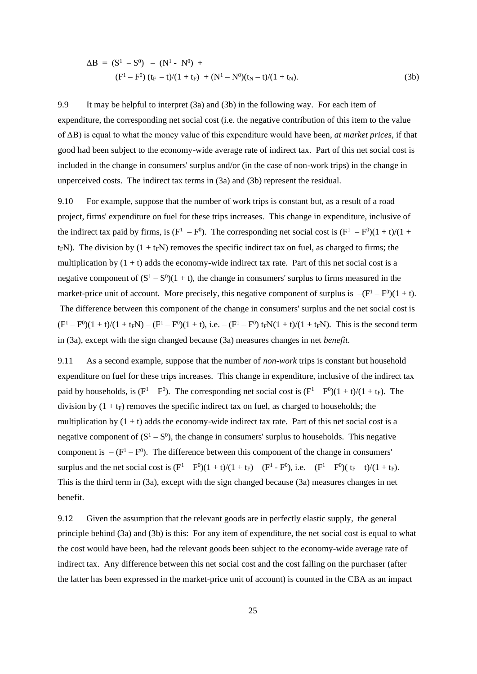$$
\Delta B = (S^1 - S^0) - (N^1 - N^0) +
$$
  
\n
$$
(F^1 - F^0) (t_F - t)/(1 + t_F) + (N^1 - N^0)(t_N - t)/(1 + t_N).
$$
\n(3b)

9.9 It may be helpful to interpret (3a) and (3b) in the following way. For each item of expenditure, the corresponding net social cost (i.e. the negative contribution of this item to the value of ΔB) is equal to what the money value of this expenditure would have been, *at market prices*, if that good had been subject to the economy-wide average rate of indirect tax. Part of this net social cost is included in the change in consumers' surplus and/or (in the case of non-work trips) in the change in unperceived costs. The indirect tax terms in (3a) and (3b) represent the residual.

9.10 For example, suppose that the number of work trips is constant but, as a result of a road project, firms' expenditure on fuel for these trips increases. This change in expenditure, inclusive of the indirect tax paid by firms, is  $(F^1 - F^0)$ . The corresponding net social cost is  $(F^1 - F^0)(1 + t)/(1 +$  $t_F$ N). The division by  $(1 + t_F N)$  removes the specific indirect tax on fuel, as charged to firms; the multiplication by  $(1 + t)$  adds the economy-wide indirect tax rate. Part of this net social cost is a negative component of  $(S^1 - S^0)(1 + t)$ , the change in consumers' surplus to firms measured in the market-price unit of account. More precisely, this negative component of surplus is  $-(F^1 - F^0)(1 + t)$ . The difference between this component of the change in consumers' surplus and the net social cost is  $(F^1 - F^0)(1 + t)/(1 + t_F N) - (F^1 - F^0)(1 + t)$ , i.e.  $-(F^1 - F^0) t_F N(1 + t)/(1 + t_F N)$ . This is the second term in (3a), except with the sign changed because (3a) measures changes in net *benefit*.

9.11 As a second example, suppose that the number of *non-work* trips is constant but household expenditure on fuel for these trips increases. This change in expenditure, inclusive of the indirect tax paid by households, is  $(F<sup>1</sup> - F<sup>0</sup>)$ . The corresponding net social cost is  $(F<sup>1</sup> - F<sup>0</sup>)(1 + t)/(1 + t_F)$ . The division by  $(1 + t_F)$  removes the specific indirect tax on fuel, as charged to households; the multiplication by  $(1 + t)$  adds the economy-wide indirect tax rate. Part of this net social cost is a negative component of  $(S^1 - S^0)$ , the change in consumers' surplus to households. This negative component is  $-(F^1 - F^0)$ . The difference between this component of the change in consumers' surplus and the net social cost is  $(F^1 - F^0)(1 + t)/(1 + t_F) - (F^1 - F^0)$ , i.e.  $-(F^1 - F^0)(t_F - t)/(1 + t_F)$ . This is the third term in (3a), except with the sign changed because (3a) measures changes in net benefit.

9.12 Given the assumption that the relevant goods are in perfectly elastic supply, the general principle behind (3a) and (3b) is this: For any item of expenditure, the net social cost is equal to what the cost would have been, had the relevant goods been subject to the economy-wide average rate of indirect tax. Any difference between this net social cost and the cost falling on the purchaser (after the latter has been expressed in the market-price unit of account) is counted in the CBA as an impact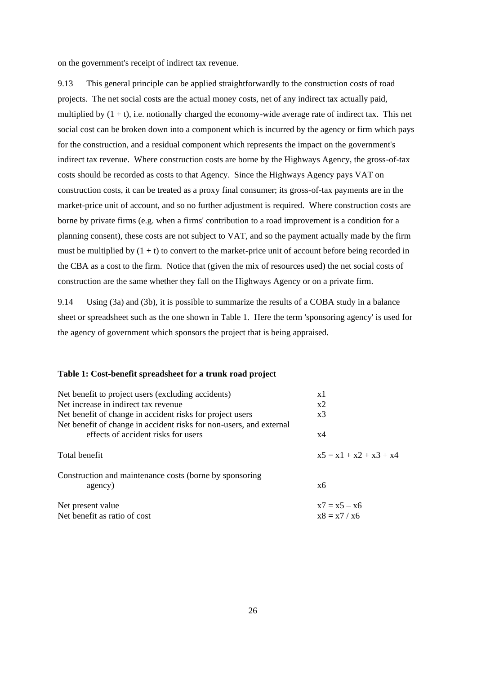on the government's receipt of indirect tax revenue.

9.13 This general principle can be applied straightforwardly to the construction costs of road projects. The net social costs are the actual money costs, net of any indirect tax actually paid, multiplied by  $(1 + t)$ , i.e. notionally charged the economy-wide average rate of indirect tax. This net social cost can be broken down into a component which is incurred by the agency or firm which pays for the construction, and a residual component which represents the impact on the government's indirect tax revenue. Where construction costs are borne by the Highways Agency, the gross-of-tax costs should be recorded as costs to that Agency. Since the Highways Agency pays VAT on construction costs, it can be treated as a proxy final consumer; its gross-of-tax payments are in the market-price unit of account, and so no further adjustment is required. Where construction costs are borne by private firms (e.g. when a firms' contribution to a road improvement is a condition for a planning consent), these costs are not subject to VAT, and so the payment actually made by the firm must be multiplied by  $(1 + t)$  to convert to the market-price unit of account before being recorded in the CBA as a cost to the firm. Notice that (given the mix of resources used) the net social costs of construction are the same whether they fall on the Highways Agency or on a private firm.

9.14 Using (3a) and (3b), it is possible to summarize the results of a COBA study in a balance sheet or spreadsheet such as the one shown in Table 1. Here the term 'sponsoring agency' is used for the agency of government which sponsors the project that is being appraised.

## **Table 1: Cost-benefit spreadsheet for a trunk road project**

| Net benefit to project users (excluding accidents)                  | x1                       |
|---------------------------------------------------------------------|--------------------------|
| Net increase in indirect tax revenue.                               | x2                       |
| Net benefit of change in accident risks for project users           | x3                       |
| Net benefit of change in accident risks for non-users, and external |                          |
| effects of accident risks for users                                 | x4                       |
| Total benefit                                                       | $x5 = x1 + x2 + x3 + x4$ |
| Construction and maintenance costs (borne by sponsoring             |                          |
| agency)                                                             | x6                       |
| Net present value                                                   | $x7 = x5 - x6$           |
| Net benefit as ratio of cost                                        | $x8 = x7 / x6$           |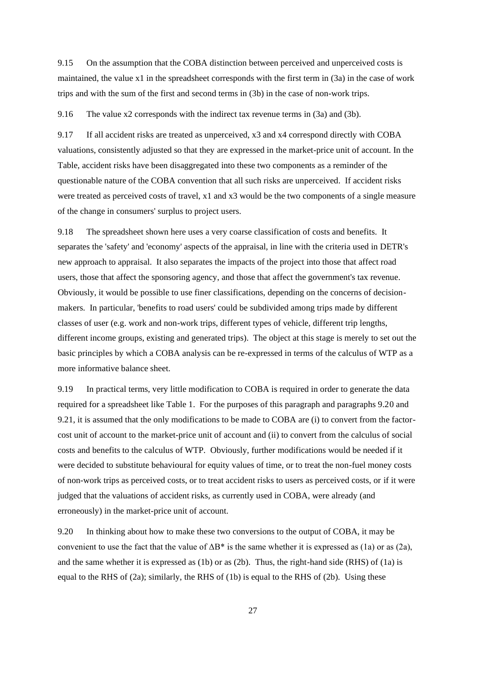9.15 On the assumption that the COBA distinction between perceived and unperceived costs is maintained, the value x1 in the spreadsheet corresponds with the first term in (3a) in the case of work trips and with the sum of the first and second terms in (3b) in the case of non-work trips.

9.16 The value x2 corresponds with the indirect tax revenue terms in (3a) and (3b).

9.17 If all accident risks are treated as unperceived, x3 and x4 correspond directly with COBA valuations, consistently adjusted so that they are expressed in the market-price unit of account. In the Table, accident risks have been disaggregated into these two components as a reminder of the questionable nature of the COBA convention that all such risks are unperceived. If accident risks were treated as perceived costs of travel, x1 and x3 would be the two components of a single measure of the change in consumers' surplus to project users.

9.18 The spreadsheet shown here uses a very coarse classification of costs and benefits. It separates the 'safety' and 'economy' aspects of the appraisal, in line with the criteria used in DETR's new approach to appraisal. It also separates the impacts of the project into those that affect road users, those that affect the sponsoring agency, and those that affect the government's tax revenue. Obviously, it would be possible to use finer classifications, depending on the concerns of decisionmakers. In particular, 'benefits to road users' could be subdivided among trips made by different classes of user (e.g. work and non-work trips, different types of vehicle, different trip lengths, different income groups, existing and generated trips). The object at this stage is merely to set out the basic principles by which a COBA analysis can be re-expressed in terms of the calculus of WTP as a more informative balance sheet.

9.19 In practical terms, very little modification to COBA is required in order to generate the data required for a spreadsheet like Table 1. For the purposes of this paragraph and paragraphs 9.20 and 9.21, it is assumed that the only modifications to be made to COBA are (i) to convert from the factorcost unit of account to the market-price unit of account and (ii) to convert from the calculus of social costs and benefits to the calculus of WTP. Obviously, further modifications would be needed if it were decided to substitute behavioural for equity values of time, or to treat the non-fuel money costs of non-work trips as perceived costs, or to treat accident risks to users as perceived costs, or if it were judged that the valuations of accident risks, as currently used in COBA, were already (and erroneously) in the market-price unit of account.

9.20 In thinking about how to make these two conversions to the output of COBA, it may be convenient to use the fact that the value of  $\Delta B^*$  is the same whether it is expressed as (1a) or as (2a), and the same whether it is expressed as (1b) or as (2b). Thus, the right-hand side (RHS) of (1a) is equal to the RHS of  $(2a)$ ; similarly, the RHS of  $(1b)$  is equal to the RHS of  $(2b)$ . Using these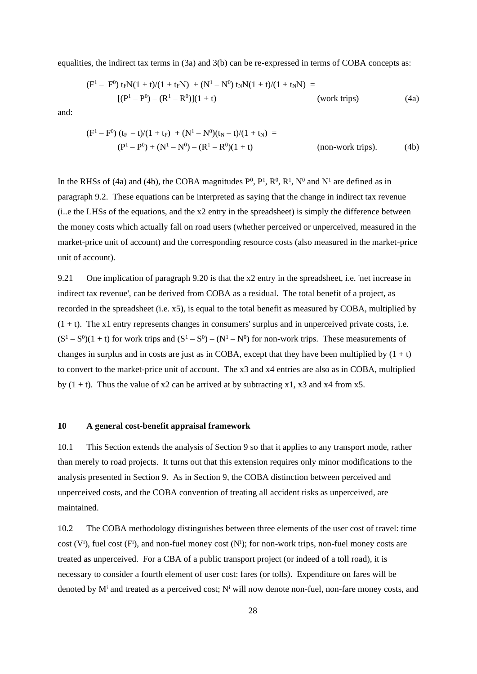equalities, the indirect tax terms in (3a) and 3(b) can be re-expressed in terms of COBA concepts as:

$$
(F1 - F0) tFN(1 + t)/(1 + tFN) + (N1 - N0) tNN(1 + t)/(1 + tNN) =
$$
  
[(P<sup>1</sup> - P<sup>0</sup>) - (R<sup>1</sup> - R<sup>0</sup>)](1 + t) (work trips) (4a)

and:

$$
(F1 - F0) (tF - t)/(1 + tF) + (N1 - N0)(tN - t)/(1 + tN) =
$$
  
(P<sup>1</sup> - P<sup>0</sup>) + (N<sup>1</sup> - N<sup>0</sup>) - (R<sup>1</sup> - R<sup>0</sup>)(1 + t) (non-work trips). (4b)

In the RHSs of (4a) and (4b), the COBA magnitudes  $P^0$ ,  $P^1$ ,  $R^0$ ,  $R^1$ ,  $N^0$  and  $N^1$  are defined as in paragraph 9.2. These equations can be interpreted as saying that the change in indirect tax revenue (i..e the LHSs of the equations, and the x2 entry in the spreadsheet) is simply the difference between the money costs which actually fall on road users (whether perceived or unperceived, measured in the market-price unit of account) and the corresponding resource costs (also measured in the market-price unit of account).

9.21 One implication of paragraph 9.20 is that the x2 entry in the spreadsheet, i.e. 'net increase in indirect tax revenue', can be derived from COBA as a residual. The total benefit of a project, as recorded in the spreadsheet (i.e. x5), is equal to the total benefit as measured by COBA, multiplied by  $(1 + t)$ . The x1 entry represents changes in consumers' surplus and in unperceived private costs, i.e.  $(S^1 - S^0)(1 + t)$  for work trips and  $(S^1 - S^0) - (N^1 - N^0)$  for non-work trips. These measurements of changes in surplus and in costs are just as in COBA, except that they have been multiplied by  $(1 + t)$ to convert to the market-price unit of account. The x3 and x4 entries are also as in COBA, multiplied by  $(1 + t)$ . Thus the value of x2 can be arrived at by subtracting x1, x3 and x4 from x5.

#### **10 A general cost-benefit appraisal framework**

10.1 This Section extends the analysis of Section 9 so that it applies to any transport mode, rather than merely to road projects. It turns out that this extension requires only minor modifications to the analysis presented in Section 9. As in Section 9, the COBA distinction between perceived and unperceived costs, and the COBA convention of treating all accident risks as unperceived, are maintained.

10.2 The COBA methodology distinguishes between three elements of the user cost of travel: time cost  $(V^i)$ , fuel cost  $(F^i)$ , and non-fuel money cost  $(N^i)$ ; for non-work trips, non-fuel money costs are treated as unperceived. For a CBA of a public transport project (or indeed of a toll road), it is necessary to consider a fourth element of user cost: fares (or tolls). Expenditure on fares will be denoted by  $M^i$  and treated as a perceived cost;  $N^i$  will now denote non-fuel, non-fare money costs, and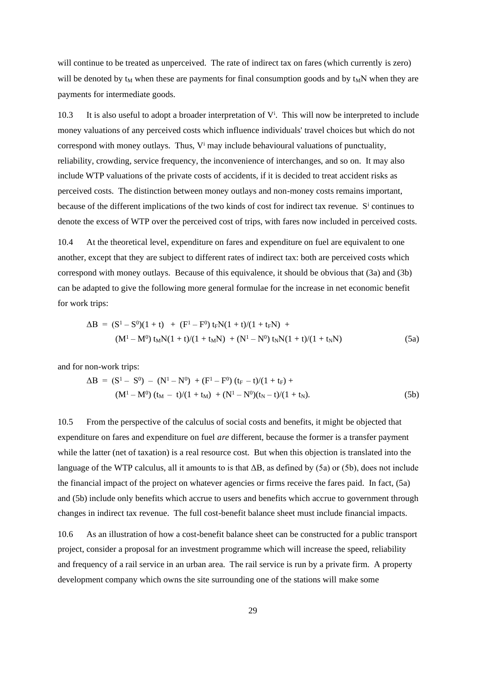will continue to be treated as unperceived. The rate of indirect tax on fares (which currently is zero) will be denoted by  $t_M$  when these are payments for final consumption goods and by  $t_M$ N when they are payments for intermediate goods.

10.3 It is also useful to adopt a broader interpretation of V<sup>i</sup>. This will now be interpreted to include money valuations of any perceived costs which influence individuals' travel choices but which do not correspond with money outlays. Thus,  $V^i$  may include behavioural valuations of punctuality, reliability, crowding, service frequency, the inconvenience of interchanges, and so on. It may also include WTP valuations of the private costs of accidents, if it is decided to treat accident risks as perceived costs. The distinction between money outlays and non-money costs remains important, because of the different implications of the two kinds of cost for indirect tax revenue. S<sup>i</sup> continues to denote the excess of WTP over the perceived cost of trips, with fares now included in perceived costs.

10.4 At the theoretical level, expenditure on fares and expenditure on fuel are equivalent to one another, except that they are subject to different rates of indirect tax: both are perceived costs which correspond with money outlays. Because of this equivalence, it should be obvious that (3a) and (3b) can be adapted to give the following more general formulae for the increase in net economic benefit for work trips:

$$
\Delta B = (S^1 - S^0)(1 + t) + (F^1 - F^0) t_F N(1 + t)/(1 + t_F N) + (M^1 - M^0) t_M N(1 + t)/(1 + t_M N) + (N^1 - N^0) t_N N(1 + t)/(1 + t_N N)
$$
\n(5a)

and for non-work trips:

$$
\Delta B = (S^1 - S^0) - (N^1 - N^0) + (F^1 - F^0) (t_F - t)/(1 + t_F) +
$$
  
\n
$$
(M^1 - M^0) (t_M - t)/(1 + t_M) + (N^1 - N^0)(t_N - t)/(1 + t_N).
$$
\n(5b)

10.5 From the perspective of the calculus of social costs and benefits, it might be objected that expenditure on fares and expenditure on fuel *are* different, because the former is a transfer payment while the latter (net of taxation) is a real resource cost. But when this objection is translated into the language of the WTP calculus, all it amounts to is that ΔB, as defined by (5a) or (5b), does not include the financial impact of the project on whatever agencies or firms receive the fares paid. In fact, (5a) and (5b) include only benefits which accrue to users and benefits which accrue to government through changes in indirect tax revenue. The full cost-benefit balance sheet must include financial impacts.

10.6 As an illustration of how a cost-benefit balance sheet can be constructed for a public transport project, consider a proposal for an investment programme which will increase the speed, reliability and frequency of a rail service in an urban area. The rail service is run by a private firm. A property development company which owns the site surrounding one of the stations will make some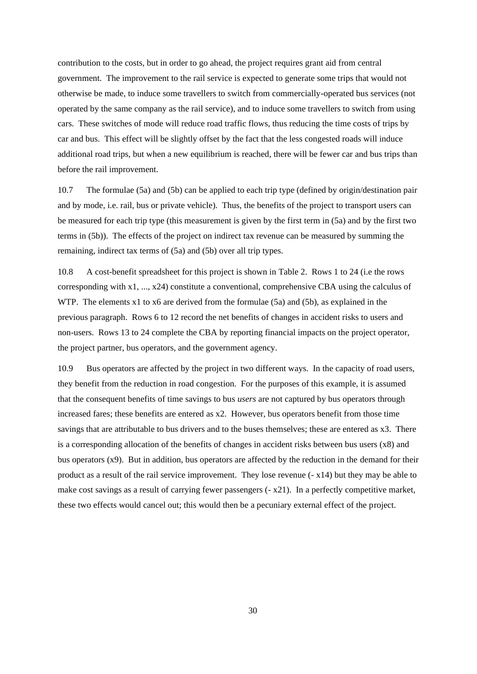contribution to the costs, but in order to go ahead, the project requires grant aid from central government. The improvement to the rail service is expected to generate some trips that would not otherwise be made, to induce some travellers to switch from commercially-operated bus services (not operated by the same company as the rail service), and to induce some travellers to switch from using cars. These switches of mode will reduce road traffic flows, thus reducing the time costs of trips by car and bus. This effect will be slightly offset by the fact that the less congested roads will induce additional road trips, but when a new equilibrium is reached, there will be fewer car and bus trips than before the rail improvement.

10.7 The formulae (5a) and (5b) can be applied to each trip type (defined by origin/destination pair and by mode, i.e. rail, bus or private vehicle). Thus, the benefits of the project to transport users can be measured for each trip type (this measurement is given by the first term in (5a) and by the first two terms in (5b)). The effects of the project on indirect tax revenue can be measured by summing the remaining, indirect tax terms of (5a) and (5b) over all trip types.

10.8 A cost-benefit spreadsheet for this project is shown in Table 2. Rows 1 to 24 (i.e the rows corresponding with x1, ..., x24) constitute a conventional, comprehensive CBA using the calculus of WTP. The elements x1 to x6 are derived from the formulae (5a) and (5b), as explained in the previous paragraph. Rows 6 to 12 record the net benefits of changes in accident risks to users and non-users. Rows 13 to 24 complete the CBA by reporting financial impacts on the project operator, the project partner, bus operators, and the government agency.

10.9 Bus operators are affected by the project in two different ways. In the capacity of road users, they benefit from the reduction in road congestion. For the purposes of this example, it is assumed that the consequent benefits of time savings to bus *users* are not captured by bus operators through increased fares; these benefits are entered as x2. However, bus operators benefit from those time savings that are attributable to bus drivers and to the buses themselves; these are entered as x3. There is a corresponding allocation of the benefits of changes in accident risks between bus users (x8) and bus operators (x9). But in addition, bus operators are affected by the reduction in the demand for their product as a result of the rail service improvement. They lose revenue (- x14) but they may be able to make cost savings as a result of carrying fewer passengers  $(-x^2)$ . In a perfectly competitive market, these two effects would cancel out; this would then be a pecuniary external effect of the project.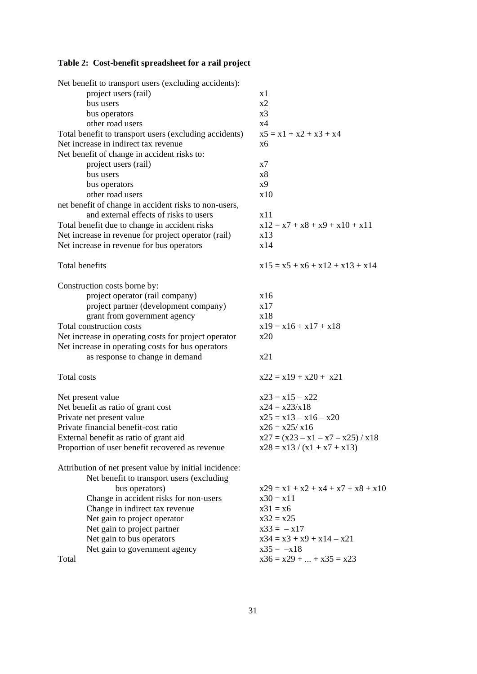# **Table 2: Cost-benefit spreadsheet for a rail project**

| Net benefit to transport users (excluding accidents):  |                                      |
|--------------------------------------------------------|--------------------------------------|
| project users (rail)                                   | x1                                   |
| bus users                                              | x2                                   |
| bus operators                                          | x <sub>3</sub>                       |
| other road users                                       | x4                                   |
| Total benefit to transport users (excluding accidents) | $x5 = x1 + x2 + x3 + x4$             |
| Net increase in indirect tax revenue                   | x6                                   |
| Net benefit of change in accident risks to:            |                                      |
| project users (rail)                                   | x7                                   |
| bus users                                              | x8                                   |
| bus operators                                          | x9                                   |
| other road users                                       | x10                                  |
| net benefit of change in accident risks to non-users,  |                                      |
| and external effects of risks to users                 | x11                                  |
| Total benefit due to change in accident risks          | $x12 = x7 + x8 + x9 + x10 + x11$     |
| Net increase in revenue for project operator (rail)    | x13                                  |
| Net increase in revenue for bus operators              | x14                                  |
|                                                        |                                      |
| <b>Total benefits</b>                                  | $x15 = x5 + x6 + x12 + x13 + x14$    |
|                                                        |                                      |
| Construction costs borne by:                           |                                      |
| project operator (rail company)                        | x16                                  |
| project partner (development company)                  | x17                                  |
| grant from government agency                           | x18                                  |
| Total construction costs                               | $x19 = x16 + x17 + x18$              |
| Net increase in operating costs for project operator   | x20                                  |
| Net increase in operating costs for bus operators      |                                      |
| as response to change in demand                        | x21                                  |
| Total costs                                            | $x22 = x19 + x20 + x21$              |
|                                                        |                                      |
| Net present value                                      | $x23 = x15 - x22$                    |
| Net benefit as ratio of grant cost                     | $x24 = x23/x18$                      |
| Private net present value                              | $x25 = x13 - x16 - x20$              |
| Private financial benefit-cost ratio                   | $x26 = x25/x16$                      |
| External benefit as ratio of grant aid                 | $x27 = (x23 - x1 - x7 - x25) / x18$  |
| Proportion of user benefit recovered as revenue        | $x28 = x13 / (x1 + x7 + x13)$        |
| Attribution of net present value by initial incidence: |                                      |
| Net benefit to transport users (excluding              |                                      |
| bus operators)                                         | $x29 = x1 + x2 + x4 + x7 + x8 + x10$ |
| Change in accident risks for non-users                 | $x30 = x11$                          |
| Change in indirect tax revenue                         | $x31 = x6$                           |
| Net gain to project operator                           | $x32 = x25$                          |
| Net gain to project partner                            | $x33 = -x17$                         |
| Net gain to bus operators                              | $x34 = x3 + x9 + x14 - x21$          |
| Net gain to government agency                          | $x35 = -x18$                         |
| Total                                                  | $x36 = x29 +  + x35 = x23$           |
|                                                        |                                      |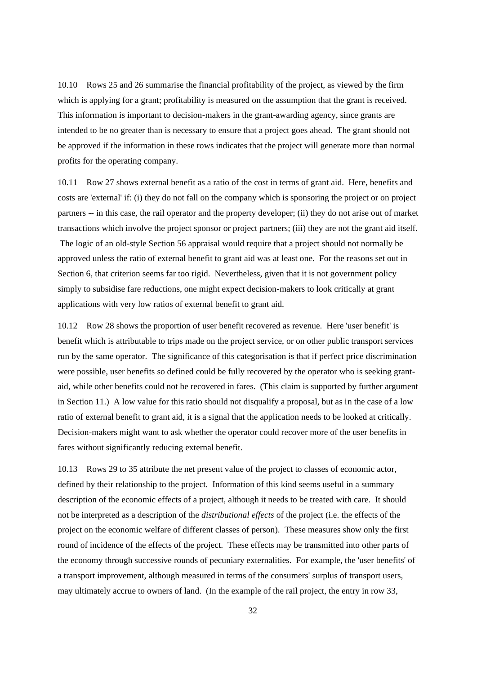10.10 Rows 25 and 26 summarise the financial profitability of the project, as viewed by the firm which is applying for a grant; profitability is measured on the assumption that the grant is received. This information is important to decision-makers in the grant-awarding agency, since grants are intended to be no greater than is necessary to ensure that a project goes ahead. The grant should not be approved if the information in these rows indicates that the project will generate more than normal profits for the operating company.

10.11 Row 27 shows external benefit as a ratio of the cost in terms of grant aid. Here, benefits and costs are 'external' if: (i) they do not fall on the company which is sponsoring the project or on project partners -- in this case, the rail operator and the property developer; (ii) they do not arise out of market transactions which involve the project sponsor or project partners; (iii) they are not the grant aid itself. The logic of an old-style Section 56 appraisal would require that a project should not normally be approved unless the ratio of external benefit to grant aid was at least one. For the reasons set out in Section 6, that criterion seems far too rigid. Nevertheless, given that it is not government policy simply to subsidise fare reductions, one might expect decision-makers to look critically at grant applications with very low ratios of external benefit to grant aid.

10.12 Row 28 shows the proportion of user benefit recovered as revenue. Here 'user benefit' is benefit which is attributable to trips made on the project service, or on other public transport services run by the same operator. The significance of this categorisation is that if perfect price discrimination were possible, user benefits so defined could be fully recovered by the operator who is seeking grantaid, while other benefits could not be recovered in fares. (This claim is supported by further argument in Section 11.) A low value for this ratio should not disqualify a proposal, but as in the case of a low ratio of external benefit to grant aid, it is a signal that the application needs to be looked at critically. Decision-makers might want to ask whether the operator could recover more of the user benefits in fares without significantly reducing external benefit.

10.13 Rows 29 to 35 attribute the net present value of the project to classes of economic actor, defined by their relationship to the project. Information of this kind seems useful in a summary description of the economic effects of a project, although it needs to be treated with care. It should not be interpreted as a description of the *distributional effects* of the project (i.e. the effects of the project on the economic welfare of different classes of person). These measures show only the first round of incidence of the effects of the project. These effects may be transmitted into other parts of the economy through successive rounds of pecuniary externalities. For example, the 'user benefits' of a transport improvement, although measured in terms of the consumers' surplus of transport users, may ultimately accrue to owners of land. (In the example of the rail project, the entry in row 33,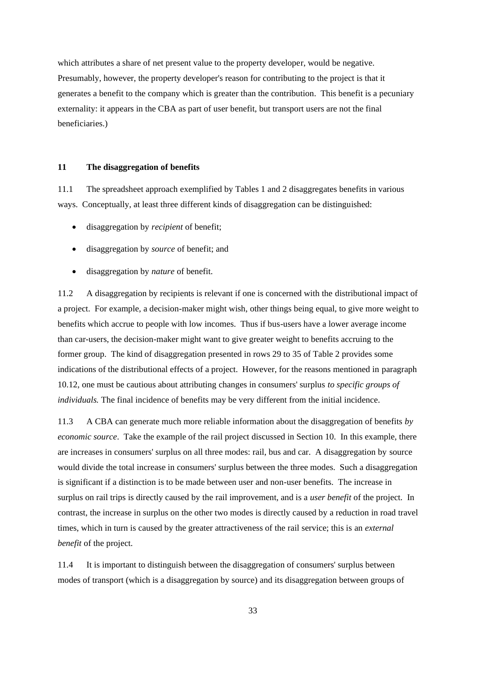which attributes a share of net present value to the property developer, would be negative. Presumably, however, the property developer's reason for contributing to the project is that it generates a benefit to the company which is greater than the contribution. This benefit is a pecuniary externality: it appears in the CBA as part of user benefit, but transport users are not the final beneficiaries.)

#### **11 The disaggregation of benefits**

11.1 The spreadsheet approach exemplified by Tables 1 and 2 disaggregates benefits in various ways. Conceptually, at least three different kinds of disaggregation can be distinguished:

- disaggregation by *recipient* of benefit;
- disaggregation by *source* of benefit; and
- disaggregation by *nature* of benefit.

11.2 A disaggregation by recipients is relevant if one is concerned with the distributional impact of a project. For example, a decision-maker might wish, other things being equal, to give more weight to benefits which accrue to people with low incomes. Thus if bus-users have a lower average income than car-users, the decision-maker might want to give greater weight to benefits accruing to the former group. The kind of disaggregation presented in rows 29 to 35 of Table 2 provides some indications of the distributional effects of a project. However, for the reasons mentioned in paragraph 10.12, one must be cautious about attributing changes in consumers' surplus *to specific groups of individuals.* The final incidence of benefits may be very different from the initial incidence.

11.3 A CBA can generate much more reliable information about the disaggregation of benefits *by economic source*. Take the example of the rail project discussed in Section 10. In this example, there are increases in consumers' surplus on all three modes: rail, bus and car. A disaggregation by source would divide the total increase in consumers' surplus between the three modes. Such a disaggregation is significant if a distinction is to be made between user and non-user benefits. The increase in surplus on rail trips is directly caused by the rail improvement, and is a *user benefit* of the project. In contrast, the increase in surplus on the other two modes is directly caused by a reduction in road travel times, which in turn is caused by the greater attractiveness of the rail service; this is an *external benefit* of the project.

11.4 It is important to distinguish between the disaggregation of consumers' surplus between modes of transport (which is a disaggregation by source) and its disaggregation between groups of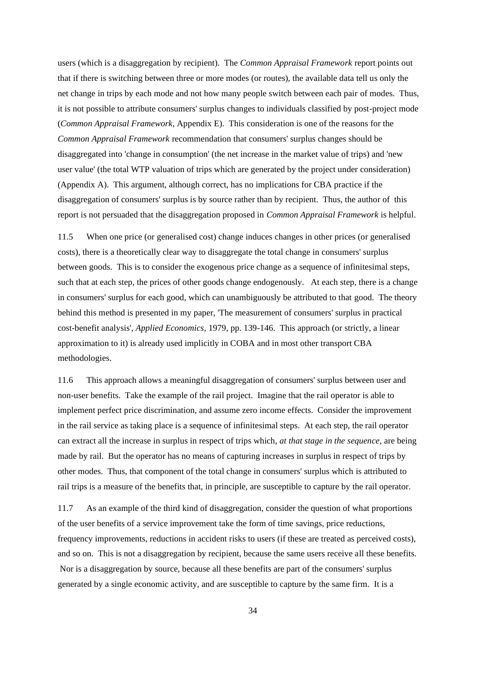users (which is a disaggregation by recipient). The *Common Appraisal Framework* report points out that if there is switching between three or more modes (or routes), the available data tell us only the net change in trips by each mode and not how many people switch between each pair of modes. Thus, it is not possible to attribute consumers' surplus changes to individuals classified by post-project mode (*Common Appraisal Framework*, Appendix E). This consideration is one of the reasons for the *Common Appraisal Framework* recommendation that consumers' surplus changes should be disaggregated into 'change in consumption' (the net increase in the market value of trips) and 'new user value' (the total WTP valuation of trips which are generated by the project under consideration) (Appendix A). This argument, although correct, has no implications for CBA practice if the disaggregation of consumers' surplus is by source rather than by recipient. Thus, the author of this report is not persuaded that the disaggregation proposed in *Common Appraisal Framework* is helpful.

11.5 When one price (or generalised cost) change induces changes in other prices (or generalised costs), there is a theoretically clear way to disaggregate the total change in consumers' surplus between goods. This is to consider the exogenous price change as a sequence of infinitesimal steps, such that at each step, the prices of other goods change endogenously. At each step, there is a change in consumers' surplus for each good, which can unambiguously be attributed to that good. The theory behind this method is presented in my paper, 'The measurement of consumers' surplus in practical cost-benefit analysis', *Applied Economics*, 1979, pp. 139-146. This approach (or strictly, a linear approximation to it) is already used implicitly in COBA and in most other transport CBA methodologies.

11.6 This approach allows a meaningful disaggregation of consumers' surplus between user and non-user benefits. Take the example of the rail project. Imagine that the rail operator is able to implement perfect price discrimination, and assume zero income effects. Consider the improvement in the rail service as taking place is a sequence of infinitesimal steps. At each step, the rail operator can extract all the increase in surplus in respect of trips which, *at that stage in the sequence*, are being made by rail. But the operator has no means of capturing increases in surplus in respect of trips by other modes. Thus, that component of the total change in consumers' surplus which is attributed to rail trips is a measure of the benefits that, in principle, are susceptible to capture by the rail operator.

11.7 As an example of the third kind of disaggregation, consider the question of what proportions of the user benefits of a service improvement take the form of time savings, price reductions, frequency improvements, reductions in accident risks to users (if these are treated as perceived costs), and so on. This is not a disaggregation by recipient, because the same users receive all these benefits. Nor is a disaggregation by source, because all these benefits are part of the consumers' surplus generated by a single economic activity, and are susceptible to capture by the same firm. It is a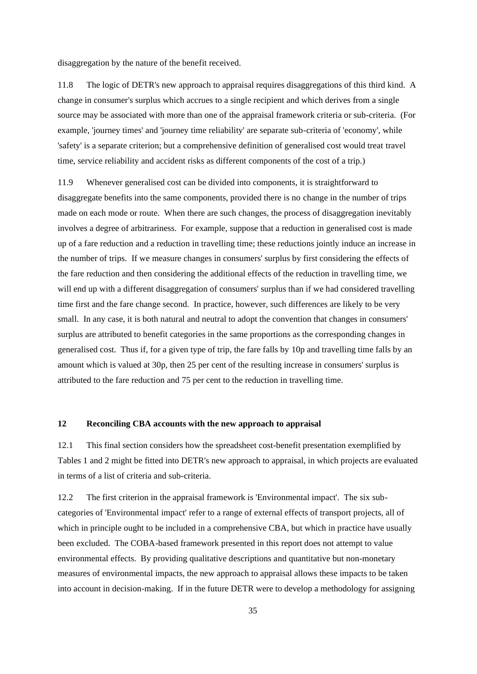disaggregation by the nature of the benefit received.

11.8 The logic of DETR's new approach to appraisal requires disaggregations of this third kind. A change in consumer's surplus which accrues to a single recipient and which derives from a single source may be associated with more than one of the appraisal framework criteria or sub-criteria. (For example, 'journey times' and 'journey time reliability' are separate sub-criteria of 'economy', while 'safety' is a separate criterion; but a comprehensive definition of generalised cost would treat travel time, service reliability and accident risks as different components of the cost of a trip.)

11.9 Whenever generalised cost can be divided into components, it is straightforward to disaggregate benefits into the same components, provided there is no change in the number of trips made on each mode or route. When there are such changes, the process of disaggregation inevitably involves a degree of arbitrariness. For example, suppose that a reduction in generalised cost is made up of a fare reduction and a reduction in travelling time; these reductions jointly induce an increase in the number of trips. If we measure changes in consumers' surplus by first considering the effects of the fare reduction and then considering the additional effects of the reduction in travelling time, we will end up with a different disaggregation of consumers' surplus than if we had considered travelling time first and the fare change second. In practice, however, such differences are likely to be very small. In any case, it is both natural and neutral to adopt the convention that changes in consumers' surplus are attributed to benefit categories in the same proportions as the corresponding changes in generalised cost. Thus if, for a given type of trip, the fare falls by 10p and travelling time falls by an amount which is valued at 30p, then 25 per cent of the resulting increase in consumers' surplus is attributed to the fare reduction and 75 per cent to the reduction in travelling time.

### **12 Reconciling CBA accounts with the new approach to appraisal**

12.1 This final section considers how the spreadsheet cost-benefit presentation exemplified by Tables 1 and 2 might be fitted into DETR's new approach to appraisal, in which projects are evaluated in terms of a list of criteria and sub-criteria.

12.2 The first criterion in the appraisal framework is 'Environmental impact'. The six subcategories of 'Environmental impact' refer to a range of external effects of transport projects, all of which in principle ought to be included in a comprehensive CBA, but which in practice have usually been excluded. The COBA-based framework presented in this report does not attempt to value environmental effects. By providing qualitative descriptions and quantitative but non-monetary measures of environmental impacts, the new approach to appraisal allows these impacts to be taken into account in decision-making. If in the future DETR were to develop a methodology for assigning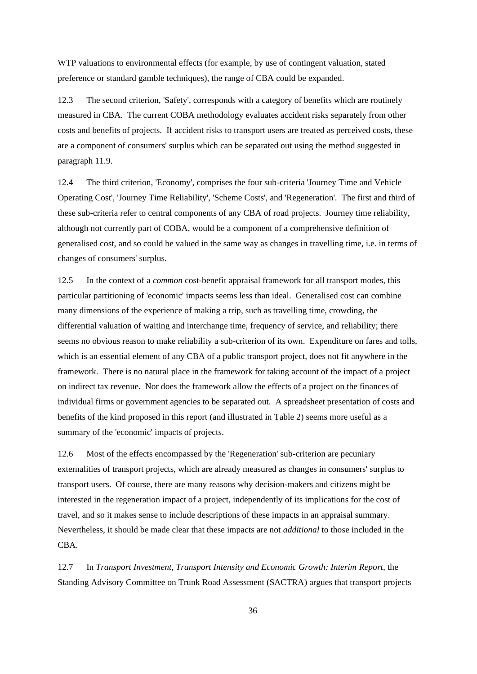WTP valuations to environmental effects (for example, by use of contingent valuation, stated preference or standard gamble techniques), the range of CBA could be expanded.

12.3 The second criterion, 'Safety', corresponds with a category of benefits which are routinely measured in CBA. The current COBA methodology evaluates accident risks separately from other costs and benefits of projects. If accident risks to transport users are treated as perceived costs, these are a component of consumers' surplus which can be separated out using the method suggested in paragraph 11.9.

12.4 The third criterion, 'Economy', comprises the four sub-criteria 'Journey Time and Vehicle Operating Cost', 'Journey Time Reliability', 'Scheme Costs', and 'Regeneration'. The first and third of these sub-criteria refer to central components of any CBA of road projects. Journey time reliability, although not currently part of COBA, would be a component of a comprehensive definition of generalised cost, and so could be valued in the same way as changes in travelling time, i.e. in terms of changes of consumers' surplus.

12.5 In the context of a *common* cost-benefit appraisal framework for all transport modes, this particular partitioning of 'economic' impacts seems less than ideal. Generalised cost can combine many dimensions of the experience of making a trip, such as travelling time, crowding, the differential valuation of waiting and interchange time, frequency of service, and reliability; there seems no obvious reason to make reliability a sub-criterion of its own. Expenditure on fares and tolls, which is an essential element of any CBA of a public transport project, does not fit anywhere in the framework. There is no natural place in the framework for taking account of the impact of a project on indirect tax revenue. Nor does the framework allow the effects of a project on the finances of individual firms or government agencies to be separated out. A spreadsheet presentation of costs and benefits of the kind proposed in this report (and illustrated in Table 2) seems more useful as a summary of the 'economic' impacts of projects.

12.6 Most of the effects encompassed by the 'Regeneration' sub-criterion are pecuniary externalities of transport projects, which are already measured as changes in consumers' surplus to transport users. Of course, there are many reasons why decision-makers and citizens might be interested in the regeneration impact of a project, independently of its implications for the cost of travel, and so it makes sense to include descriptions of these impacts in an appraisal summary. Nevertheless, it should be made clear that these impacts are not *additional* to those included in the CBA.

12.7 In *Transport Investment, Transport Intensity and Economic Growth: Interim Report*, the Standing Advisory Committee on Trunk Road Assessment (SACTRA) argues that transport projects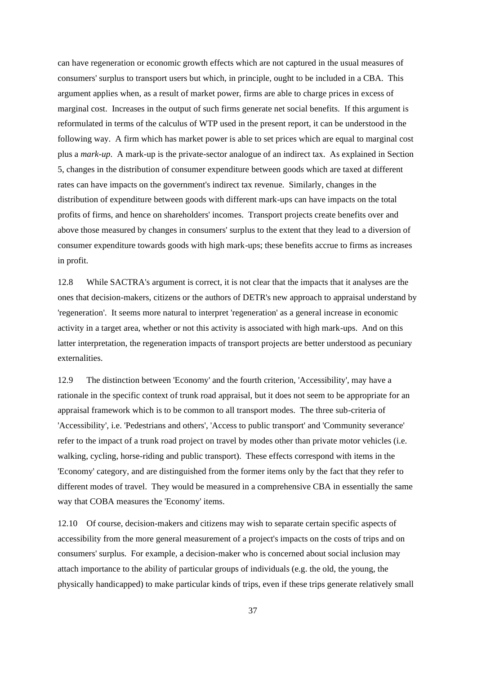can have regeneration or economic growth effects which are not captured in the usual measures of consumers' surplus to transport users but which, in principle, ought to be included in a CBA. This argument applies when, as a result of market power, firms are able to charge prices in excess of marginal cost. Increases in the output of such firms generate net social benefits. If this argument is reformulated in terms of the calculus of WTP used in the present report, it can be understood in the following way. A firm which has market power is able to set prices which are equal to marginal cost plus a *mark-up*. A mark-up is the private-sector analogue of an indirect tax. As explained in Section 5, changes in the distribution of consumer expenditure between goods which are taxed at different rates can have impacts on the government's indirect tax revenue. Similarly, changes in the distribution of expenditure between goods with different mark-ups can have impacts on the total profits of firms, and hence on shareholders' incomes. Transport projects create benefits over and above those measured by changes in consumers' surplus to the extent that they lead to a diversion of consumer expenditure towards goods with high mark-ups; these benefits accrue to firms as increases in profit.

12.8 While SACTRA's argument is correct, it is not clear that the impacts that it analyses are the ones that decision-makers, citizens or the authors of DETR's new approach to appraisal understand by 'regeneration'. It seems more natural to interpret 'regeneration' as a general increase in economic activity in a target area, whether or not this activity is associated with high mark-ups. And on this latter interpretation, the regeneration impacts of transport projects are better understood as pecuniary externalities.

12.9 The distinction between 'Economy' and the fourth criterion, 'Accessibility', may have a rationale in the specific context of trunk road appraisal, but it does not seem to be appropriate for an appraisal framework which is to be common to all transport modes. The three sub-criteria of 'Accessibility', i.e. 'Pedestrians and others', 'Access to public transport' and 'Community severance' refer to the impact of a trunk road project on travel by modes other than private motor vehicles (i.e. walking, cycling, horse-riding and public transport). These effects correspond with items in the 'Economy' category, and are distinguished from the former items only by the fact that they refer to different modes of travel. They would be measured in a comprehensive CBA in essentially the same way that COBA measures the 'Economy' items.

12.10 Of course, decision-makers and citizens may wish to separate certain specific aspects of accessibility from the more general measurement of a project's impacts on the costs of trips and on consumers' surplus. For example, a decision-maker who is concerned about social inclusion may attach importance to the ability of particular groups of individuals (e.g. the old, the young, the physically handicapped) to make particular kinds of trips, even if these trips generate relatively small